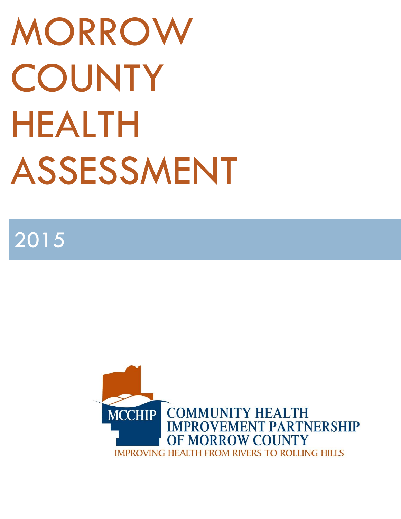# MORROW **COUNTY** HEALTH ASSESSMENT

2015

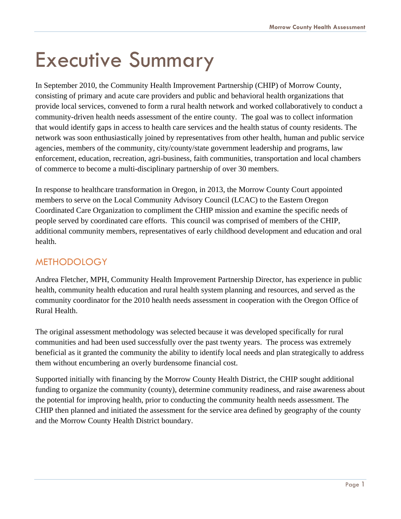# Executive Summary

In September 2010, the Community Health Improvement Partnership (CHIP) of Morrow County, consisting of primary and acute care providers and public and behavioral health organizations that provide local services, convened to form a rural health network and worked collaboratively to conduct a community-driven health needs assessment of the entire county. The goal was to collect information that would identify gaps in access to health care services and the health status of county residents. The network was soon enthusiastically joined by representatives from other health, human and public service agencies, members of the community, city/county/state government leadership and programs, law enforcement, education, recreation, agri-business, faith communities, transportation and local chambers of commerce to become a multi-disciplinary partnership of over 30 members.

In response to healthcare transformation in Oregon, in 2013, the Morrow County Court appointed members to serve on the Local Community Advisory Council (LCAC) to the Eastern Oregon Coordinated Care Organization to compliment the CHIP mission and examine the specific needs of people served by coordinated care efforts. This council was comprised of members of the CHIP, additional community members, representatives of early childhood development and education and oral health.

#### METHODOLOGY

Andrea Fletcher, MPH, Community Health Improvement Partnership Director, has experience in public health, community health education and rural health system planning and resources, and served as the community coordinator for the 2010 health needs assessment in cooperation with the Oregon Office of Rural Health.

The original assessment methodology was selected because it was developed specifically for rural communities and had been used successfully over the past twenty years. The process was extremely beneficial as it granted the community the ability to identify local needs and plan strategically to address them without encumbering an overly burdensome financial cost.

Supported initially with financing by the Morrow County Health District, the CHIP sought additional funding to organize the community (county), determine community readiness, and raise awareness about the potential for improving health, prior to conducting the community health needs assessment. The CHIP then planned and initiated the assessment for the service area defined by geography of the county and the Morrow County Health District boundary.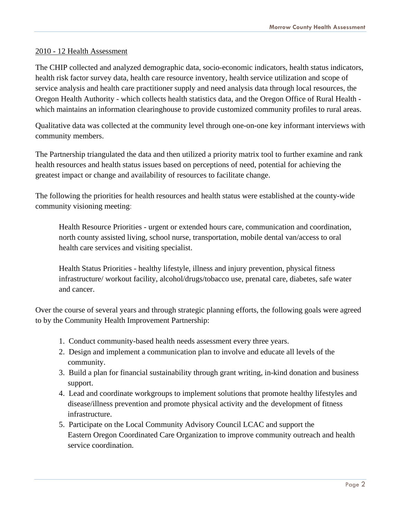#### 2010 - 12 Health Assessment

The CHIP collected and analyzed demographic data, socio-economic indicators, health status indicators, health risk factor survey data, health care resource inventory, health service utilization and scope of service analysis and health care practitioner supply and need analysis data through local resources, the Oregon Health Authority - which collects health statistics data, and the Oregon Office of Rural Health which maintains an information clearinghouse to provide customized community profiles to rural areas.

Qualitative data was collected at the community level through one-on-one key informant interviews with community members.

The Partnership triangulated the data and then utilized a priority matrix tool to further examine and rank health resources and health status issues based on perceptions of need, potential for achieving the greatest impact or change and availability of resources to facilitate change.

The following the priorities for health resources and health status were established at the county-wide community visioning meeting:

 Health Resource Priorities - urgent or extended hours care, communication and coordination, north county assisted living, school nurse, transportation, mobile dental van/access to oral health care services and visiting specialist.

 Health Status Priorities - healthy lifestyle, illness and injury prevention, physical fitness infrastructure/ workout facility, alcohol/drugs/tobacco use, prenatal care, diabetes, safe water and cancer.

Over the course of several years and through strategic planning efforts, the following goals were agreed to by the Community Health Improvement Partnership:

- 1. Conduct community-based health needs assessment every three years.
- 2. Design and implement a communication plan to involve and educate all levels of the community.
- 3. Build a plan for financial sustainability through grant writing, in-kind donation and business support.
- 4. Lead and coordinate workgroups to implement solutions that promote healthy lifestyles and disease/illness prevention and promote physical activity and the development of fitness infrastructure.
- 5. Participate on the Local Community Advisory Council LCAC and support the Eastern Oregon Coordinated Care Organization to improve community outreach and health service coordination.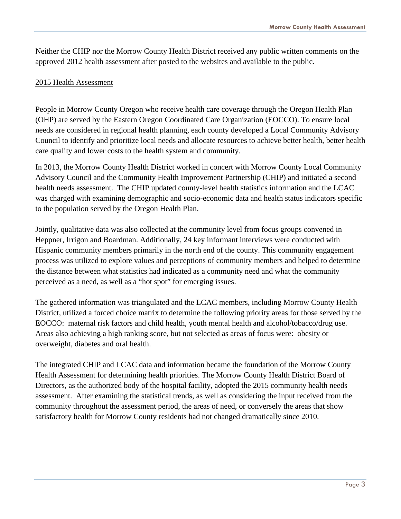Neither the CHIP nor the Morrow County Health District received any public written comments on the approved 2012 health assessment after posted to the websites and available to the public.

#### 2015 Health Assessment

People in Morrow County Oregon who receive health care coverage through the Oregon Health Plan (OHP) are served by the Eastern Oregon Coordinated Care Organization (EOCCO). To ensure local needs are considered in regional health planning, each county developed a Local Community Advisory Council to identify and prioritize local needs and allocate resources to achieve better health, better health care quality and lower costs to the health system and community.

In 2013, the Morrow County Health District worked in concert with Morrow County Local Community Advisory Council and the Community Health Improvement Partnership (CHIP) and initiated a second health needs assessment. The CHIP updated county-level health statistics information and the LCAC was charged with examining demographic and socio-economic data and health status indicators specific to the population served by the Oregon Health Plan.

Jointly, qualitative data was also collected at the community level from focus groups convened in Heppner, Irrigon and Boardman. Additionally, 24 key informant interviews were conducted with Hispanic community members primarily in the north end of the county. This community engagement process was utilized to explore values and perceptions of community members and helped to determine the distance between what statistics had indicated as a community need and what the community perceived as a need, as well as a "hot spot" for emerging issues.

The gathered information was triangulated and the LCAC members, including Morrow County Health District, utilized a forced choice matrix to determine the following priority areas for those served by the EOCCO: maternal risk factors and child health, youth mental health and alcohol/tobacco/drug use. Areas also achieving a high ranking score, but not selected as areas of focus were: obesity or overweight, diabetes and oral health.

The integrated CHIP and LCAC data and information became the foundation of the Morrow County Health Assessment for determining health priorities. The Morrow County Health District Board of Directors, as the authorized body of the hospital facility, adopted the 2015 community health needs assessment. After examining the statistical trends, as well as considering the input received from the community throughout the assessment period, the areas of need, or conversely the areas that show satisfactory health for Morrow County residents had not changed dramatically since 2010.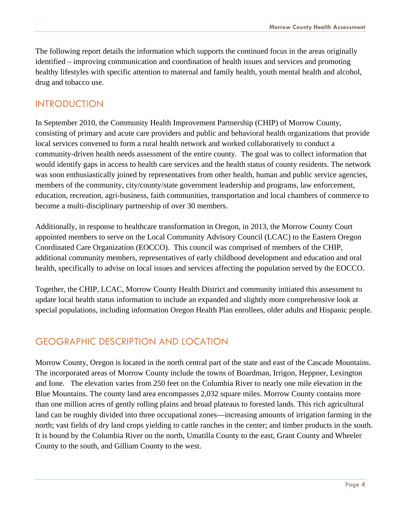The following report details the information which supports the continued focus in the areas originally identified – improving communication and coordination of health issues and services and promoting healthy lifestyles with specific attention to maternal and family health, youth mental health and alcohol, drug and tobacco use.

#### INTRODUCTION

In September 2010, the Community Health Improvement Partnership (CHIP) of Morrow County, consisting of primary and acute care providers and public and behavioral health organizations that provide local services convened to form a rural health network and worked collaboratively to conduct a community-driven health needs assessment of the entire county. The goal was to collect information that would identify gaps in access to health care services and the health status of county residents. The network was soon enthusiastically joined by representatives from other health, human and public service agencies, members of the community, city/county/state government leadership and programs, law enforcement, education, recreation, agri-business, faith communities, transportation and local chambers of commerce to become a multi-disciplinary partnership of over 30 members.

Additionally, in response to healthcare transformation in Oregon, in 2013, the Morrow County Court appointed members to serve on the Local Community Advisory Council (LCAC) to the Eastern Oregon Coordinated Care Organization (EOCCO). This council was comprised of members of the CHIP, additional community members, representatives of early childhood development and education and oral health, specifically to advise on local issues and services affecting the population served by the EOCCO.

Together, the CHIP, LCAC, Morrow County Health District and community initiated this assessment to update local health status information to include an expanded and slightly more comprehensive look at special populations, including information Oregon Health Plan enrollees, older adults and Hispanic people.

#### GEOGRAPHIC DESCRIPTION AND LOCATION

Morrow County, Oregon is located in the north central part of the state and east of the Cascade Mountains. The incorporated areas of Morrow County include the towns of Boardman, Irrigon, Heppner, Lexington and Ione. The elevation varies from 250 feet on the Columbia River to nearly one mile elevation in the Blue Mountains. The county land area encompasses 2,032 square miles. Morrow County contains more than one million acres of gently rolling plains and broad plateaus to forested lands. This rich agricultural land can be roughly divided into three occupational zones—increasing amounts of irrigation farming in the north; vast fields of dry land crops yielding to cattle ranches in the center; and timber products in the south. It is bound by the Columbia River on the north, Umatilla County to the east, Grant County and Wheeler County to the south, and Gilliam County to the west.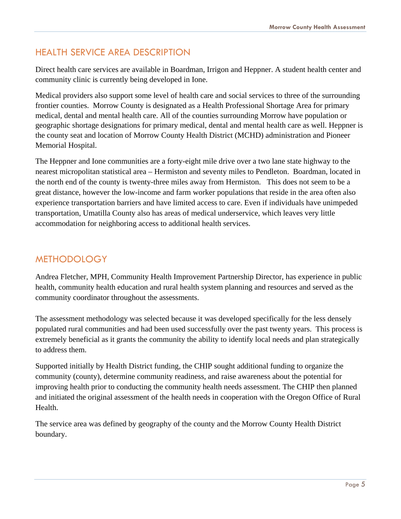#### HEALTH SERVICE AREA DESCRIPTION

Direct health care services are available in Boardman, Irrigon and Heppner. A student health center and community clinic is currently being developed in Ione.

Medical providers also support some level of health care and social services to three of the surrounding frontier counties. Morrow County is designated as a Health Professional Shortage Area for primary medical, dental and mental health care. All of the counties surrounding Morrow have population or geographic shortage designations for primary medical, dental and mental health care as well. Heppner is the county seat and location of Morrow County Health District (MCHD) administration and Pioneer Memorial Hospital.

The Heppner and Ione communities are a forty-eight mile drive over a two lane state highway to the nearest micropolitan statistical area – Hermiston and seventy miles to Pendleton. Boardman, located in the north end of the county is twenty-three miles away from Hermiston. This does not seem to be a great distance, however the low-income and farm worker populations that reside in the area often also experience transportation barriers and have limited access to care. Even if individuals have unimpeded transportation, Umatilla County also has areas of medical underservice, which leaves very little accommodation for neighboring access to additional health services.

#### METHODOLOGY

Andrea Fletcher, MPH, Community Health Improvement Partnership Director, has experience in public health, community health education and rural health system planning and resources and served as the community coordinator throughout the assessments.

The assessment methodology was selected because it was developed specifically for the less densely populated rural communities and had been used successfully over the past twenty years. This process is extremely beneficial as it grants the community the ability to identify local needs and plan strategically to address them.

Supported initially by Health District funding, the CHIP sought additional funding to organize the community (county), determine community readiness, and raise awareness about the potential for improving health prior to conducting the community health needs assessment. The CHIP then planned and initiated the original assessment of the health needs in cooperation with the Oregon Office of Rural Health.

The service area was defined by geography of the county and the Morrow County Health District boundary.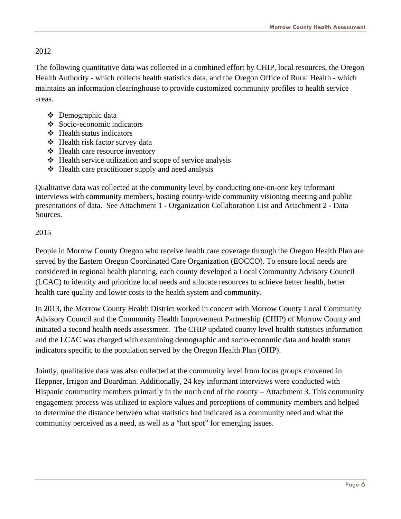#### 2012

The following quantitative data was collected in a combined effort by CHIP, local resources, the Oregon Health Authority - which collects health statistics data, and the Oregon Office of Rural Health - which maintains an information clearinghouse to provide customized community profiles to health service areas.

- Demographic data
- Socio-economic indicators
- $\div$  Health status indicators
- Health risk factor survey data
- Health care resource inventory
- $\triangle$  Health service utilization and scope of service analysis
- $\triangle$  Health care practitioner supply and need analysis

Qualitative data was collected at the community level by conducting one-on-one key informant interviews with community members, hosting county-wide community visioning meeting and public presentations of data. See Attachment 1 **-** Organization Collaboration List and Attachment 2 - Data Sources.

#### 2015

People in Morrow County Oregon who receive health care coverage through the Oregon Health Plan are served by the Eastern Oregon Coordinated Care Organization (EOCCO). To ensure local needs are considered in regional health planning, each county developed a Local Community Advisory Council (LCAC) to identify and prioritize local needs and allocate resources to achieve better health, better health care quality and lower costs to the health system and community.

In 2013, the Morrow County Health District worked in concert with Morrow County Local Community Advisory Council and the Community Health Improvement Partnership (CHIP) of Morrow County and initiated a second health needs assessment. The CHIP updated county level health statistics information and the LCAC was charged with examining demographic and socio-economic data and health status indicators specific to the population served by the Oregon Health Plan (OHP).

Jointly, qualitative data was also collected at the community level from focus groups convened in Heppner, Irrigon and Boardman. Additionally, 24 key informant interviews were conducted with Hispanic community members primarily in the north end of the county – Attachment 3. This community engagement process was utilized to explore values and perceptions of community members and helped to determine the distance between what statistics had indicated as a community need and what the community perceived as a need, as well as a "hot spot" for emerging issues.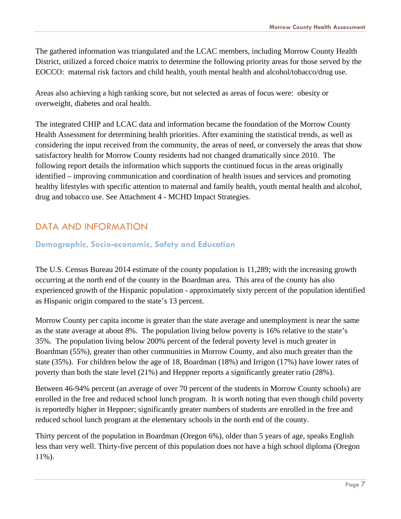The gathered information was triangulated and the LCAC members, including Morrow County Health District, utilized a forced choice matrix to determine the following priority areas for those served by the EOCCO: maternal risk factors and child health, youth mental health and alcohol/tobacco/drug use.

Areas also achieving a high ranking score, but not selected as areas of focus were: obesity or overweight, diabetes and oral health.

The integrated CHIP and LCAC data and information became the foundation of the Morrow County Health Assessment for determining health priorities. After examining the statistical trends, as well as considering the input received from the community, the areas of need, or conversely the areas that show satisfactory health for Morrow County residents had not changed dramatically since 2010. The following report details the information which supports the continued focus in the areas originally identified – improving communication and coordination of health issues and services and promoting healthy lifestyles with specific attention to maternal and family health, youth mental health and alcohol, drug and tobacco use. See Attachment 4 - MCHD Impact Strategies.

#### DATA AND INFORMATION

#### **Demographic, Socio-economic, Safety and Education**

The U.S. Census Bureau 2014 estimate of the county population is 11,289; with the increasing growth occurring at the north end of the county in the Boardman area. This area of the county has also experienced growth of the Hispanic population - approximately sixty percent of the population identified as Hispanic origin compared to the state's 13 percent.

Morrow County per capita income is greater than the state average and unemployment is near the same as the state average at about 8%. The population living below poverty is 16% relative to the state's 35%. The population living below 200% percent of the federal poverty level is much greater in Boardman (55%), greater than other communities in Morrow County, and also much greater than the state (35%). For children below the age of 18, Boardman (18%) and Irrigon (17%) have lower rates of poverty than both the state level (21%) and Heppner reports a significantly greater ratio (28%).

Between 46-94% percent (an average of over 70 percent of the students in Morrow County schools) are enrolled in the free and reduced school lunch program. It is worth noting that even though child poverty is reportedly higher in Heppner; significantly greater numbers of students are enrolled in the free and reduced school lunch program at the elementary schools in the north end of the county.

Thirty percent of the population in Boardman (Oregon 6%), older than 5 years of age, speaks English less than very well. Thirty-five percent of this population does not have a high school diploma (Oregon 11%).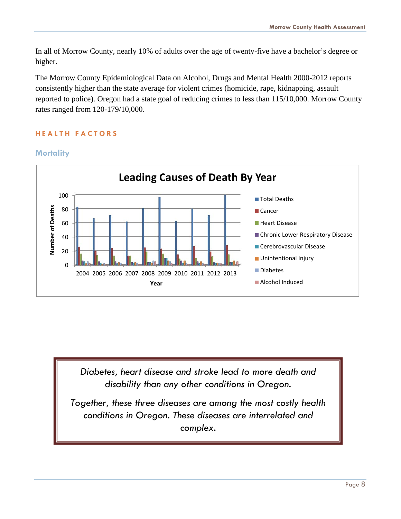In all of Morrow County, nearly 10% of adults over the age of twenty-five have a bachelor's degree or higher.

The Morrow County Epidemiological Data on Alcohol, Drugs and Mental Health 2000-2012 reports consistently higher than the state average for violent crimes (homicide, rape, kidnapping, assault reported to police). Oregon had a state goal of reducing crimes to less than 115/10,000. Morrow County rates ranged from 120-179/10,000.

#### **HEALTH FACTORS**



#### **Mortality**

*Diabetes, heart disease and stroke lead to more death and disability than any other conditions in Oregon.* 

*Together, these three diseases are among the most costly health conditions in Oregon. These diseases are interrelated and complex.*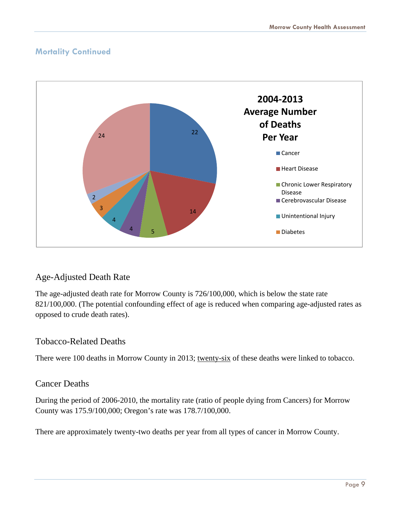#### **Mortality Continued**



#### Age-Adjusted Death Rate

The age-adjusted death rate for Morrow County is 726/100,000, which is below the state rate 821/100,000. (The potential confounding effect of age is reduced when comparing age-adjusted rates as opposed to crude death rates).

#### Tobacco-Related Deaths

There were 100 deaths in Morrow County in 2013; twenty-six of these deaths were linked to tobacco.

#### Cancer Deaths

During the period of 2006-2010, the mortality rate (ratio of people dying from Cancers) for Morrow County was 175.9/100,000; Oregon's rate was 178.7/100,000.

There are approximately twenty-two deaths per year from all types of cancer in Morrow County.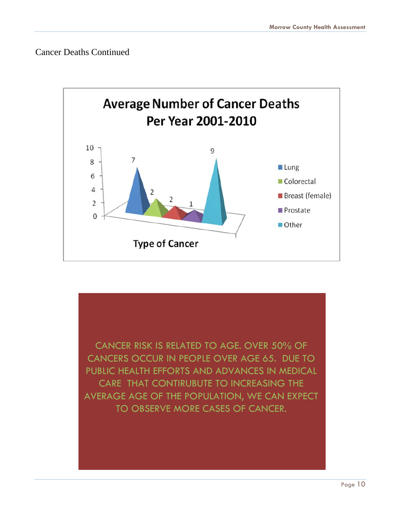Cancer Deaths Continued



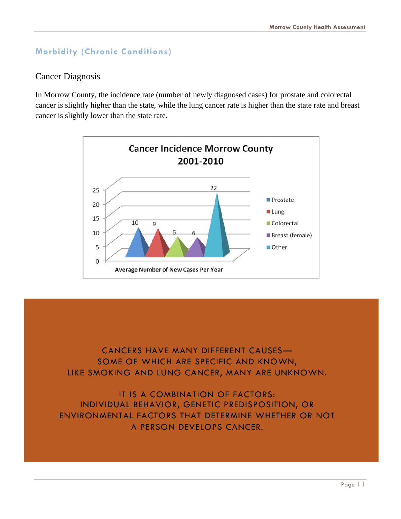#### **Morbidity (Chronic Conditions)**

#### Cancer Diagnosis

In Morrow County, the incidence rate (number of newly diagnosed cases) for prostate and colorectal cancer is slightly higher than the state, while the lung cancer rate is higher than the state rate and breast cancer is slightly lower than the state rate.



CANCERS HAVE MANY DIFFERENT CAUSES— SOME OF WHICH ARE SPECIFIC AND KNOWN, LIKE SMOKING AND LUNG CANCER, MANY ARE UNKNOWN.

IT IS A COMBINATION OF FACTORS: INDIVIDUAL BEHAVIOR, GENETIC PREDISPOSITION, OR ENVIRONMENTAL FACTORS THAT DETERMINE WHETHER OR NOT A PERSON DEVELOPS CANCER.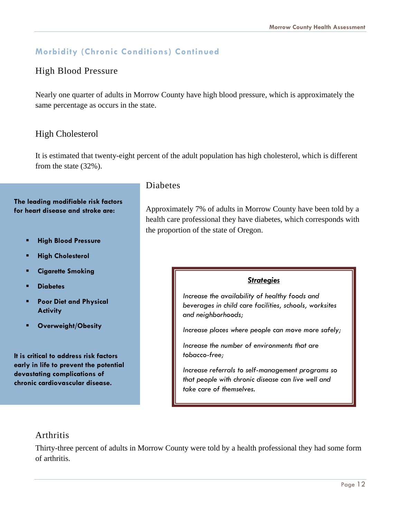#### **Morbidity (Chronic Conditions) Continued**

#### High Blood Pressure

Nearly one quarter of adults in Morrow County have high blood pressure, which is approximately the same percentage as occurs in the state.

#### High Cholesterol

It is estimated that twenty-eight percent of the adult population has high cholesterol, which is different from the state (32%).

#### **The leading modifiable risk factors for heart disease and stroke are:**

- **High Blood Pressure**
- **High Cholesterol**
- **Cigarette Smoking**
- **Diabetes**
- **Poor Diet and Physical Activity**
- **Overweight/Obesity**

**It is critical to address risk factors early in life to prevent the potential devastating complications of chronic cardiovascular disease.**

#### Diabetes

Approximately 7% of adults in Morrow County have been told by a health care professional they have diabetes, which corresponds with the proportion of the state of Oregon.

#### *Strategies*

*Increase the availability of healthy foods and beverages in child care facilities, schools, worksites and neighborhoods;* 

*Increase places where people can move more safely;* 

*Increase the number of environments that are tobacco-free;* 

*Increase referrals to self-management programs so that people with chronic disease can live well and take care of themselves.* 

#### Arthritis

Thirty-three percent of adults in Morrow County were told by a health professional they had some form of arthritis.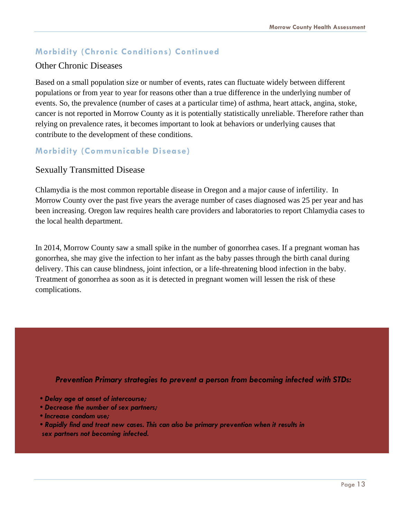#### **Morbidity (Chronic Conditions) Continued**

#### Other Chronic Diseases

Based on a small population size or number of events, rates can fluctuate widely between different populations or from year to year for reasons other than a true difference in the underlying number of events. So, the prevalence (number of cases at a particular time) of asthma, heart attack, angina, stoke, cancer is not reported in Morrow County as it is potentially statistically unreliable. Therefore rather than relying on prevalence rates, it becomes important to look at behaviors or underlying causes that contribute to the development of these conditions.

#### **Morbidity (Communicable Disease)**

#### Sexually Transmitted Disease

Chlamydia is the most common reportable disease in Oregon and a major cause of infertility. In Morrow County over the past five years the average number of cases diagnosed was 25 per year and has been increasing. Oregon law requires health care providers and laboratories to report Chlamydia cases to the local health department.

In 2014, Morrow County saw a small spike in the number of gonorrhea cases. If a pregnant woman has gonorrhea, she may give the infection to her infant as the baby passes through the birth canal during delivery. This can cause blindness, joint infection, or a life-threatening blood infection in the baby. Treatment of gonorrhea as soon as it is detected in pregnant women will lessen the risk of these complications.

#### *Prevention Primary strategies to prevent a person from becoming infected with STDs:*

- *Delay age at onset of intercourse;*
- *Decrease the number of sex partners;*
- *Increase condom use;*
- *Rapidly find and treat new cases. This can also be primary prevention when it results in sex partners not becoming infected.*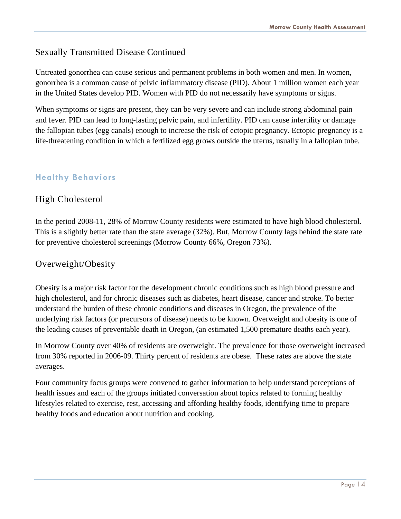#### Sexually Transmitted Disease Continued

Untreated gonorrhea can cause serious and permanent problems in both women and men. In women, gonorrhea is a common cause of pelvic inflammatory disease (PID). About 1 million women each year in the United States develop PID. Women with PID do not necessarily have symptoms or signs.

When symptoms or signs are present, they can be very severe and can include strong abdominal pain and fever. PID can lead to long-lasting pelvic pain, and infertility. PID can cause infertility or damage the fallopian tubes (egg canals) enough to increase the risk of ectopic pregnancy. Ectopic pregnancy is a life-threatening condition in which a fertilized egg grows outside the uterus, usually in a fallopian tube.

#### **Healthy Behaviors**

#### High Cholesterol

In the period 2008-11, 28% of Morrow County residents were estimated to have high blood cholesterol. This is a slightly better rate than the state average (32%). But, Morrow County lags behind the state rate for preventive cholesterol screenings (Morrow County 66%, Oregon 73%).

#### Overweight/Obesity

Obesity is a major risk factor for the development chronic conditions such as high blood pressure and high cholesterol, and for chronic diseases such as diabetes, heart disease, cancer and stroke. To better understand the burden of these chronic conditions and diseases in Oregon, the prevalence of the underlying risk factors (or precursors of disease) needs to be known. Overweight and obesity is one of the leading causes of preventable death in Oregon, (an estimated 1,500 premature deaths each year).

In Morrow County over 40% of residents are overweight. The prevalence for those overweight increased from 30% reported in 2006-09. Thirty percent of residents are obese. These rates are above the state averages.

Four community focus groups were convened to gather information to help understand perceptions of health issues and each of the groups initiated conversation about topics related to forming healthy lifestyles related to exercise, rest, accessing and affording healthy foods, identifying time to prepare healthy foods and education about nutrition and cooking.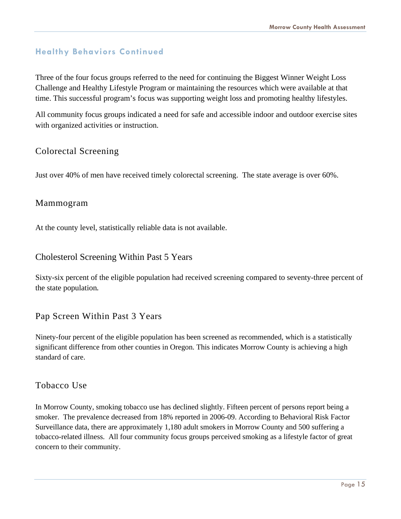#### **Healthy Behaviors Continued**

Three of the four focus groups referred to the need for continuing the Biggest Winner Weight Loss Challenge and Healthy Lifestyle Program or maintaining the resources which were available at that time. This successful program's focus was supporting weight loss and promoting healthy lifestyles.

All community focus groups indicated a need for safe and accessible indoor and outdoor exercise sites with organized activities or instruction.

#### Colorectal Screening

Just over 40% of men have received timely colorectal screening. The state average is over 60%.

#### Mammogram

At the county level, statistically reliable data is not available.

#### Cholesterol Screening Within Past 5 Years

Sixty-six percent of the eligible population had received screening compared to seventy-three percent of the state population.

#### Pap Screen Within Past 3 Years

Ninety-four percent of the eligible population has been screened as recommended, which is a statistically significant difference from other counties in Oregon. This indicates Morrow County is achieving a high standard of care.

#### Tobacco Use

In Morrow County, smoking tobacco use has declined slightly. Fifteen percent of persons report being a smoker. The prevalence decreased from 18% reported in 2006-09. According to Behavioral Risk Factor Surveillance data, there are approximately 1,180 adult smokers in Morrow County and 500 suffering a tobacco-related illness. All four community focus groups perceived smoking as a lifestyle factor of great concern to their community.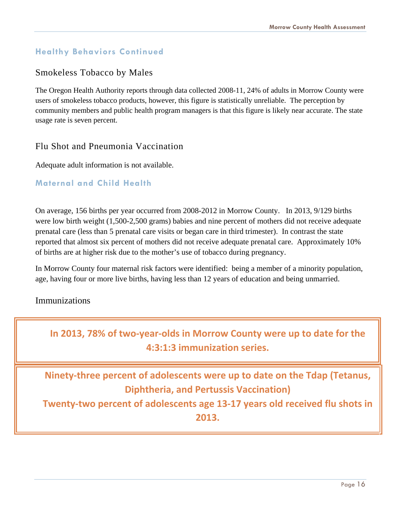#### **Healthy Behaviors Continued**

#### Smokeless Tobacco by Males

The Oregon Health Authority reports through data collected 2008-11, 24% of adults in Morrow County were users of smokeless tobacco products, however, this figure is statistically unreliable. The perception by community members and public health program managers is that this figure is likely near accurate. The state usage rate is seven percent.

#### Flu Shot and Pneumonia Vaccination

Adequate adult information is not available.

#### **Maternal and Child Health**

On average, 156 births per year occurred from 2008-2012 in Morrow County. In 2013, 9/129 births were low birth weight (1,500-2,500 grams) babies and nine percent of mothers did not receive adequate prenatal care (less than 5 prenatal care visits or began care in third trimester). In contrast the state reported that almost six percent of mothers did not receive adequate prenatal care. Approximately 10% of births are at higher risk due to the mother's use of tobacco during pregnancy.

In Morrow County four maternal risk factors were identified: being a member of a minority population, age, having four or more live births, having less than 12 years of education and being unmarried.

#### Immunizations

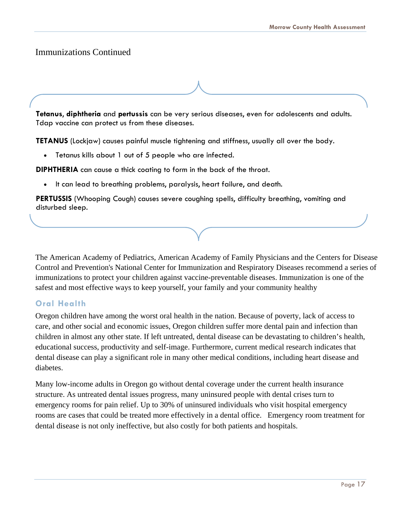#### Immunizations Continued

**Tetanus**, **diphtheria** and **pertussis** can be very serious diseases, even for adolescents and adults. Tdap vaccine can protect us from these diseases.

**TETANUS** (Lockjaw) causes painful muscle tightening and stiffness, usually all over the body.

Tetanus kills about 1 out of 5 people who are infected.

**DIPHTHERIA** can cause a thick coating to form in the back of the throat.

It can lead to breathing problems, paralysis, heart failure, and death.

**PERTUSSIS** (Whooping Cough) causes severe coughing spells, difficulty breathing, vomiting and disturbed sleep.

The American Academy of Pediatrics, American Academy of Family Physicians and the Centers for Disease Control and Prevention's National Center for Immunization and Respiratory Diseases recommend a series of immunizations to protect your children against vaccine-preventable diseases. Immunization is one of the safest and most effective ways to keep yourself, your family and your community healthy

#### **Oral Health**

Oregon children have among the worst oral health in the nation. Because of poverty, lack of access to care, and other social and economic issues, Oregon children suffer more dental pain and infection than children in almost any other state. If left untreated, dental disease can be devastating to children's health, educational success, productivity and self-image. Furthermore, current medical research indicates that dental disease can play a significant role in many other medical conditions, including heart disease and diabetes.

Many low-income adults in Oregon go without dental coverage under the current health insurance structure. As untreated dental issues progress, many uninsured people with dental crises turn to emergency rooms for pain relief. Up to 30% of uninsured individuals who visit hospital emergency rooms are cases that could be treated more effectively in a dental office. Emergency room treatment for dental disease is not only ineffective, but also costly for both patients and hospitals.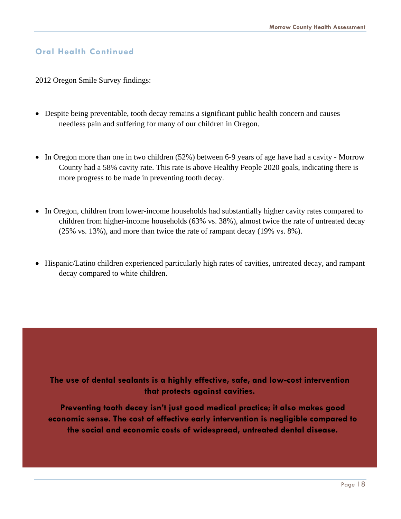#### **Oral Health Continued**

2012 Oregon Smile Survey findings:

- Despite being preventable, tooth decay remains a significant public health concern and causes needless pain and suffering for many of our children in Oregon.
- In Oregon more than one in two children (52%) between 6-9 years of age have had a cavity Morrow County had a 58% cavity rate. This rate is above Healthy People 2020 goals, indicating there is more progress to be made in preventing tooth decay.
- In Oregon, children from lower-income households had substantially higher cavity rates compared to children from higher-income households (63% vs. 38%), almost twice the rate of untreated decay (25% vs. 13%), and more than twice the rate of rampant decay (19% vs. 8%).
- Hispanic/Latino children experienced particularly high rates of cavities, untreated decay, and rampant decay compared to white children.

**The use of dental sealants is a highly effective, safe, and low-cost intervention that protects against cavities.** 

**Preventing tooth decay isn't just good medical practice; it also makes good economic sense. The cost of effective early intervention is negligible compared to the social and economic costs of widespread, untreated dental disease.**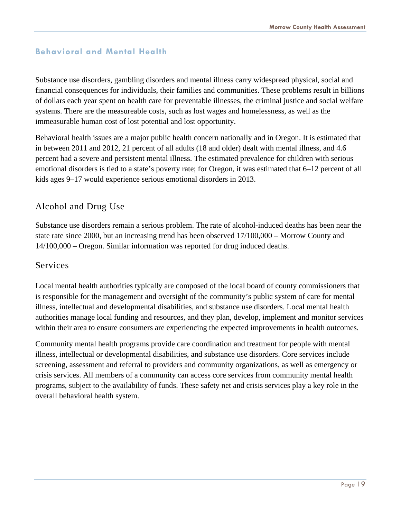#### **Behavioral and Mental Health**

Substance use disorders, gambling disorders and mental illness carry widespread physical, social and financial consequences for individuals, their families and communities. These problems result in billions of dollars each year spent on health care for preventable illnesses, the criminal justice and social welfare systems. There are the measureable costs, such as lost wages and homelessness, as well as the immeasurable human cost of lost potential and lost opportunity.

Behavioral health issues are a major public health concern nationally and in Oregon. It is estimated that in between 2011 and 2012, 21 percent of all adults (18 and older) dealt with mental illness, and 4.6 percent had a severe and persistent mental illness. The estimated prevalence for children with serious emotional disorders is tied to a state's poverty rate; for Oregon, it was estimated that 6–12 percent of all kids ages 9–17 would experience serious emotional disorders in 2013.

#### Alcohol and Drug Use

Substance use disorders remain a serious problem. The rate of alcohol-induced deaths has been near the state rate since 2000, but an increasing trend has been observed 17/100,000 – Morrow County and 14/100,000 – Oregon. Similar information was reported for drug induced deaths.

#### Services

Local mental health authorities typically are composed of the local board of county commissioners that is responsible for the management and oversight of the community's public system of care for mental illness, intellectual and developmental disabilities, and substance use disorders. Local mental health authorities manage local funding and resources, and they plan, develop, implement and monitor services within their area to ensure consumers are experiencing the expected improvements in health outcomes.

Community mental health programs provide care coordination and treatment for people with mental illness, intellectual or developmental disabilities, and substance use disorders. Core services include screening, assessment and referral to providers and community organizations, as well as emergency or crisis services. All members of a community can access core services from community mental health programs, subject to the availability of funds. These safety net and crisis services play a key role in the overall behavioral health system.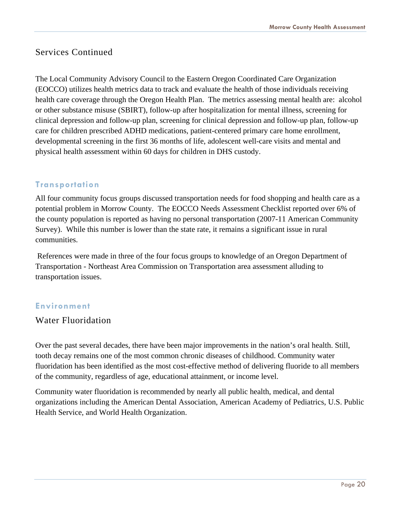#### Services Continued

The Local Community Advisory Council to the Eastern Oregon Coordinated Care Organization (EOCCO) utilizes health metrics data to track and evaluate the health of those individuals receiving health care coverage through the Oregon Health Plan. The metrics assessing mental health are: alcohol or other substance misuse (SBIRT), follow-up after hospitalization for mental illness, screening for clinical depression and follow-up plan, screening for clinical depression and follow-up plan, follow-up care for children prescribed ADHD medications, patient-centered primary care home enrollment, developmental screening in the first 36 months of life, adolescent well-care visits and mental and physical health assessment within 60 days for children in DHS custody.

#### **Transportation**

All four community focus groups discussed transportation needs for food shopping and health care as a potential problem in Morrow County. The EOCCO Needs Assessment Checklist reported over 6% of the county population is reported as having no personal transportation (2007-11 American Community Survey). While this number is lower than the state rate, it remains a significant issue in rural communities.

 References were made in three of the four focus groups to knowledge of an Oregon Department of Transportation - Northeast Area Commission on Transportation area assessment alluding to transportation issues.

#### **Environment**

#### Water Fluoridation

Over the past several decades, there have been major improvements in the nation's oral health. Still, tooth decay remains one of the most common chronic diseases of childhood. Community water fluoridation has been identified as the most cost-effective method of delivering fluoride to all members of the community, regardless of age, educational attainment, or income level.

Community water fluoridation is recommended by nearly all public health, medical, and dental organizations including the American Dental Association, American Academy of Pediatrics, U.S. Public Health Service, and World Health Organization.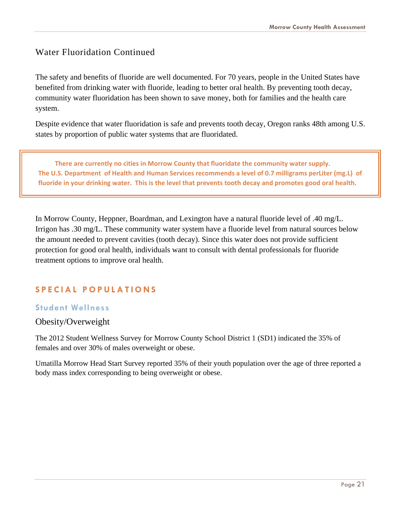#### Water Fluoridation Continued

The safety and benefits of fluoride are well documented. For 70 years, people in the United States have benefited from drinking water with fluoride, leading to better oral health. By preventing tooth decay, community water fluoridation has been shown to save money, both for families and the health care system.

Despite evidence that water fluoridation is safe and prevents tooth decay, Oregon ranks 48th among U.S. states by proportion of public water systems that are fluoridated.

There are currently no cities in Morrow County that fluoridate the community water supply. The U.S. Department of Health and Human Services recommends a level of 0.7 milligrams perLiter (mg.L) of fluoride in your drinking water. This is the level that prevents tooth decay and promotes good oral health.

In Morrow County, Heppner, Boardman, and Lexington have a natural fluoride level of .40 mg/L. Irrigon has .30 mg/L. These community water system have a fluoride level from natural sources below the amount needed to prevent cavities (tooth decay). Since this water does not provide sufficient protection for good oral health, individuals want to consult with dental professionals for fluoride treatment options to improve oral health.

#### **SPECIAL POPULATIONS**

#### **Student Wellness**

#### Obesity/Overweight

The 2012 Student Wellness Survey for Morrow County School District 1 (SD1) indicated the 35% of females and over 30% of males overweight or obese.

Umatilla Morrow Head Start Survey reported 35% of their youth population over the age of three reported a body mass index corresponding to being overweight or obese.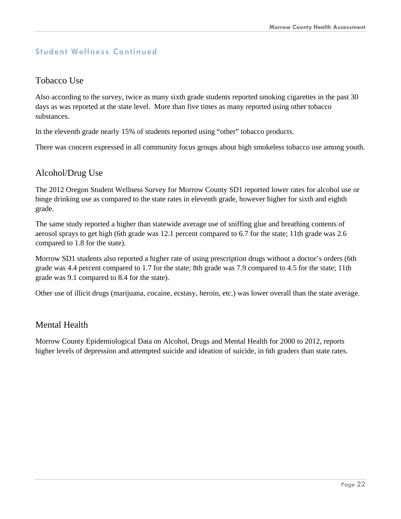#### **Student Wellness Continued**

#### Tobacco Use

Also according to the survey, twice as many sixth grade students reported smoking cigarettes in the past 30 days as was reported at the state level. More than five times as many reported using other tobacco substances.

In the eleventh grade nearly 15% of students reported using "other" tobacco products.

There was concern expressed in all community focus groups about high smokeless tobacco use among youth.

#### Alcohol/Drug Use

The 2012 Oregon Student Wellness Survey for Morrow County SD1 reported lower rates for alcohol use or binge drinking use as compared to the state rates in eleventh grade, however higher for sixth and eighth grade.

The same study reported a higher than statewide average use of sniffing glue and breathing contents of aerosol sprays to get high (6th grade was 12.1 percent compared to 6.7 for the state; 11th grade was 2.6 compared to 1.8 for the state).

Morrow SD1 students also reported a higher rate of using prescription drugs without a doctor's orders (6th grade was 4.4 percent compared to 1.7 for the state; 8th grade was 7.9 compared to 4.5 for the state; 11th grade was 9.1 compared to 8.4 for the state).

Other use of illicit drugs (marijuana, cocaine, ecstasy, heroin, etc.) was lower overall than the state average.

#### Mental Health

Morrow County Epidemiological Data on Alcohol, Drugs and Mental Health for 2000 to 2012, reports higher levels of depression and attempted suicide and ideation of suicide, in 6th graders than state rates.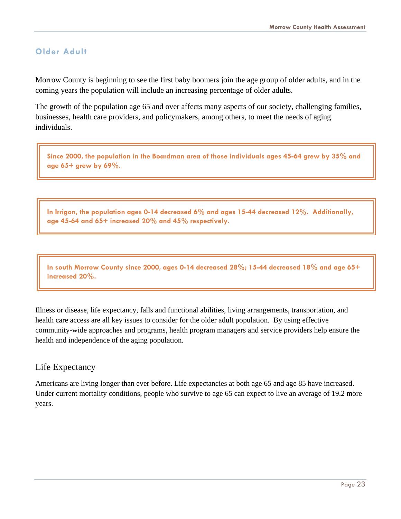#### **Older Adult**

Morrow County is beginning to see the first baby boomers join the age group of older adults, and in the coming years the population will include an increasing percentage of older adults.

The growth of the population age 65 and over affects many aspects of our society, challenging families, businesses, health care providers, and policymakers, among others, to meet the needs of aging individuals.

**Since 2000, the population in the Boardman area of those individuals ages 45-64 grew by 35% and age 65+ grew by 69%.** 

**In Irrigon, the population ages 0-14 decreased 6% and ages 15-44 decreased 12%. Additionally, age 45-64 and 65+ increased 20% and 45% respectively.** 

**In south Morrow County since 2000, ages 0-14 decreased 28%; 15-44 decreased 18% and age 65+ increased 20%.** 

Illness or disease, life expectancy, falls and functional abilities, living arrangements, transportation, and health care access are all key issues to consider for the older adult population. By using effective community-wide approaches and programs, health program managers and service providers help ensure the health and independence of the aging population.

#### Life Expectancy

Americans are living longer than ever before. Life expectancies at both age 65 and age 85 have increased. Under current mortality conditions, people who survive to age 65 can expect to live an average of 19.2 more years.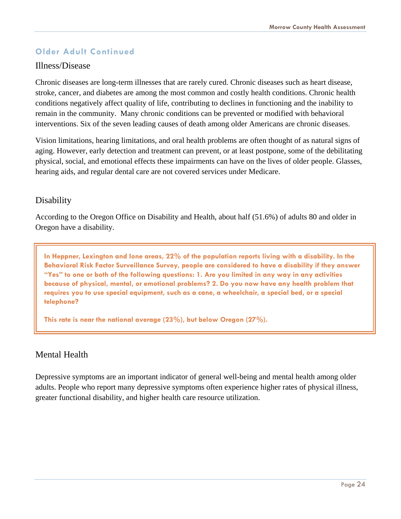#### **Older Adult Continued**

#### Illness/Disease

Chronic diseases are long-term illnesses that are rarely cured. Chronic diseases such as heart disease, stroke, cancer, and diabetes are among the most common and costly health conditions. Chronic health conditions negatively affect quality of life, contributing to declines in functioning and the inability to remain in the community. Many chronic conditions can be prevented or modified with behavioral interventions. Six of the seven leading causes of death among older Americans are chronic diseases.

Vision limitations, hearing limitations, and oral health problems are often thought of as natural signs of aging. However, early detection and treatment can prevent, or at least postpone, some of the debilitating physical, social, and emotional effects these impairments can have on the lives of older people. Glasses, hearing aids, and regular dental care are not covered services under Medicare.

#### Disability

According to the Oregon Office on Disability and Health, about half (51.6%) of adults 80 and older in Oregon have a disability.

**In Heppner, Lexington and Ione areas, 22% of the population reports living with a disability. In the Behavioral Risk Factor Surveillance Survey, people are considered to have a disability if they answer "Yes" to one or both of the following questions: 1. Are you limited in any way in any activities because of physical, mental, or emotional problems? 2. Do you now have any health problem that requires you to use special equipment, such as a cane, a wheelchair, a special bed, or a special telephone?** 

**This rate is near the national average (23%), but below Oregon (27%).** 

#### Mental Health

Depressive symptoms are an important indicator of general well-being and mental health among older adults. People who report many depressive symptoms often experience higher rates of physical illness, greater functional disability, and higher health care resource utilization.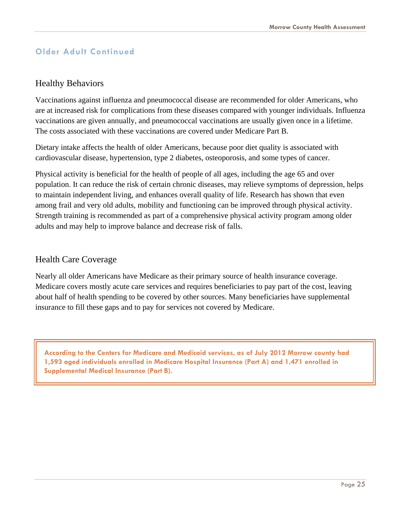#### **Older Adult Continued**

#### Healthy Behaviors

Vaccinations against influenza and pneumococcal disease are recommended for older Americans, who are at increased risk for complications from these diseases compared with younger individuals. Influenza vaccinations are given annually, and pneumococcal vaccinations are usually given once in a lifetime. The costs associated with these vaccinations are covered under Medicare Part B.

Dietary intake affects the health of older Americans, because poor diet quality is associated with cardiovascular disease, hypertension, type 2 diabetes, osteoporosis, and some types of cancer.

Physical activity is beneficial for the health of people of all ages, including the age 65 and over population. It can reduce the risk of certain chronic diseases, may relieve symptoms of depression, helps to maintain independent living, and enhances overall quality of life. Research has shown that even among frail and very old adults, mobility and functioning can be improved through physical activity. Strength training is recommended as part of a comprehensive physical activity program among older adults and may help to improve balance and decrease risk of falls.

#### Health Care Coverage

Nearly all older Americans have Medicare as their primary source of health insurance coverage. Medicare covers mostly acute care services and requires beneficiaries to pay part of the cost, leaving about half of health spending to be covered by other sources. Many beneficiaries have supplemental insurance to fill these gaps and to pay for services not covered by Medicare.

**According to the Centers for Medicare and Medicaid services, as of July 2012 Morrow county had 1,593 aged individuals enrolled in Medicare Hospital Insurance (Part A) and 1,471 enrolled in Supplemental Medical Insurance (Part B).**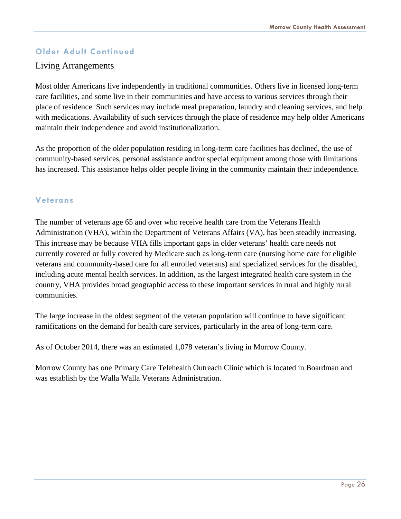#### **Older Adult Continued**

#### Living Arrangements

Most older Americans live independently in traditional communities. Others live in licensed long-term care facilities, and some live in their communities and have access to various services through their place of residence. Such services may include meal preparation, laundry and cleaning services, and help with medications. Availability of such services through the place of residence may help older Americans maintain their independence and avoid institutionalization.

As the proportion of the older population residing in long-term care facilities has declined, the use of community-based services, personal assistance and/or special equipment among those with limitations has increased. This assistance helps older people living in the community maintain their independence.

#### **Veterans**

The number of veterans age 65 and over who receive health care from the Veterans Health Administration (VHA), within the Department of Veterans Affairs (VA), has been steadily increasing. This increase may be because VHA fills important gaps in older veterans' health care needs not currently covered or fully covered by Medicare such as long-term care (nursing home care for eligible veterans and community-based care for all enrolled veterans) and specialized services for the disabled, including acute mental health services. In addition, as the largest integrated health care system in the country, VHA provides broad geographic access to these important services in rural and highly rural communities.

The large increase in the oldest segment of the veteran population will continue to have significant ramifications on the demand for health care services, particularly in the area of long-term care.

As of October 2014, there was an estimated 1,078 veteran's living in Morrow County.

Morrow County has one Primary Care Telehealth Outreach Clinic which is located in Boardman and was establish by the Walla Walla Veterans Administration.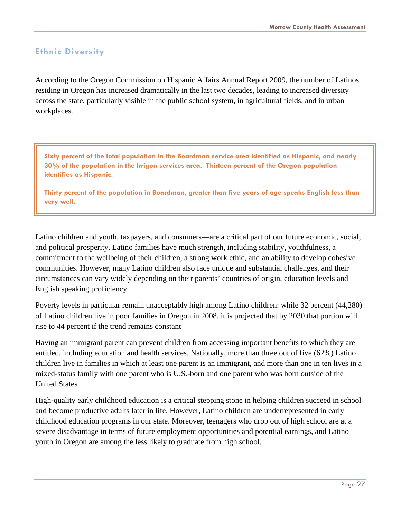#### **Ethnic Diversity**

According to the Oregon Commission on Hispanic Affairs Annual Report 2009, the number of Latinos residing in Oregon has increased dramatically in the last two decades, leading to increased diversity across the state, particularly visible in the public school system, in agricultural fields, and in urban workplaces.

**Sixty percent of the total population in the Boardman service area identified as Hispanic, and nearly 30% of the population in the Irrigon services area. Thirteen percent of the Oregon population identifies as Hispanic.** 

**Thirty percent of the population in Boardman, greater than five years of age speaks English less than very well.**

Latino children and youth, taxpayers, and consumers—are a critical part of our future economic, social, and political prosperity. Latino families have much strength, including stability, youthfulness, a commitment to the wellbeing of their children, a strong work ethic, and an ability to develop cohesive communities. However, many Latino children also face unique and substantial challenges, and their circumstances can vary widely depending on their parents' countries of origin, education levels and English speaking proficiency.

Poverty levels in particular remain unacceptably high among Latino children: while 32 percent (44,280) of Latino children live in poor families in Oregon in 2008, it is projected that by 2030 that portion will rise to 44 percent if the trend remains constant

Having an immigrant parent can prevent children from accessing important benefits to which they are entitled, including education and health services. Nationally, more than three out of five (62%) Latino children live in families in which at least one parent is an immigrant, and more than one in ten lives in a mixed-status family with one parent who is U.S.-born and one parent who was born outside of the United States

High-quality early childhood education is a critical stepping stone in helping children succeed in school and become productive adults later in life. However, Latino children are underrepresented in early childhood education programs in our state. Moreover, teenagers who drop out of high school are at a severe disadvantage in terms of future employment opportunities and potential earnings, and Latino youth in Oregon are among the less likely to graduate from high school.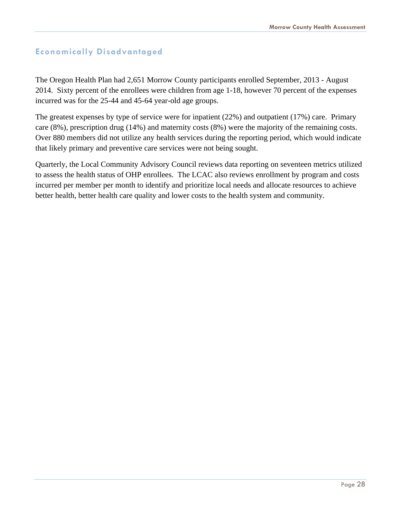#### **Economically Disadvantaged**

The Oregon Health Plan had 2,651 Morrow County participants enrolled September, 2013 - August 2014. Sixty percent of the enrollees were children from age 1-18, however 70 percent of the expenses incurred was for the 25-44 and 45-64 year-old age groups.

The greatest expenses by type of service were for inpatient (22%) and outpatient (17%) care. Primary care (8%), prescription drug (14%) and maternity costs (8%) were the majority of the remaining costs. Over 880 members did not utilize any health services during the reporting period, which would indicate that likely primary and preventive care services were not being sought.

Quarterly, the Local Community Advisory Council reviews data reporting on seventeen metrics utilized to assess the health status of OHP enrollees. The LCAC also reviews enrollment by program and costs incurred per member per month to identify and prioritize local needs and allocate resources to achieve better health, better health care quality and lower costs to the health system and community.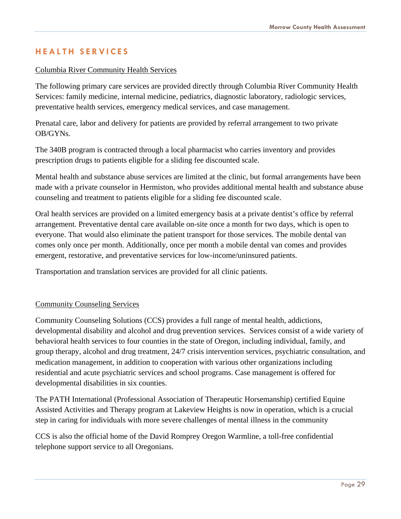#### **HEALTH SERVICES**

#### Columbia River Community Health Services

 The following primary care services are provided directly through Columbia River Community Health Services: family medicine, internal medicine, pediatrics, diagnostic laboratory, radiologic services, preventative health services, emergency medical services, and case management.

 Prenatal care, labor and delivery for patients are provided by referral arrangement to two private OB/GYNs.

 The 340B program is contracted through a local pharmacist who carries inventory and provides prescription drugs to patients eligible for a sliding fee discounted scale.

 Mental health and substance abuse services are limited at the clinic, but formal arrangements have been made with a private counselor in Hermiston, who provides additional mental health and substance abuse counseling and treatment to patients eligible for a sliding fee discounted scale.

 Oral health services are provided on a limited emergency basis at a private dentist's office by referral arrangement. Preventative dental care available on-site once a month for two days, which is open to everyone. That would also eliminate the patient transport for those services. The mobile dental van comes only once per month. Additionally, once per month a mobile dental van comes and provides emergent, restorative, and preventative services for low-income/uninsured patients.

Transportation and translation services are provided for all clinic patients.

#### Community Counseling Services

Community Counseling Solutions (CCS) provides a full range of mental health, addictions, developmental disability and alcohol and drug prevention services. Services consist of a wide variety of behavioral health services to four counties in the state of Oregon, including individual, family, and group therapy, alcohol and drug treatment, 24/7 crisis intervention services, psychiatric consultation, and medication management, in addition to cooperation with various other organizations including residential and acute psychiatric services and school programs. Case management is offered for developmental disabilities in six counties.

The PATH International (Professional Association of Therapeutic Horsemanship) certified Equine Assisted Activities and Therapy program at Lakeview Heights is now in operation, which is a crucial step in caring for individuals with more severe challenges of mental illness in the community

CCS is also the official home of the David Romprey Oregon Warmline, a toll-free confidential telephone support service to all Oregonians.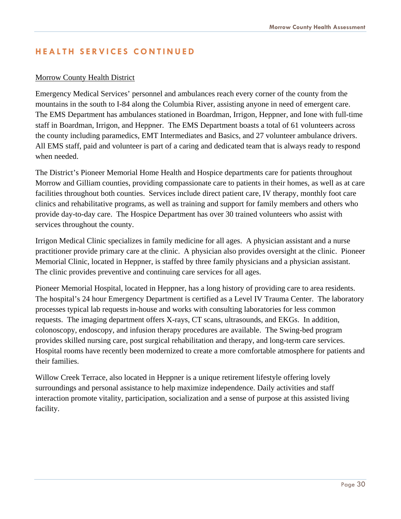#### **HEALTH SERVICES CONTINUED**

#### Morrow County Health District

Emergency Medical Services' personnel and ambulances reach every corner of the county from the mountains in the south to I-84 along the Columbia River, assisting anyone in need of emergent care. The EMS Department has ambulances stationed in Boardman, Irrigon, Heppner, and Ione with full-time staff in Boardman, Irrigon, and Heppner. The EMS Department boasts a total of 61 volunteers across the county including paramedics, EMT Intermediates and Basics, and 27 volunteer ambulance drivers. All EMS staff, paid and volunteer is part of a caring and dedicated team that is always ready to respond when needed.

The District's Pioneer Memorial Home Health and Hospice departments care for patients throughout Morrow and Gilliam counties, providing compassionate care to patients in their homes, as well as at care facilities throughout both counties. Services include direct patient care, IV therapy, monthly foot care clinics and rehabilitative programs, as well as training and support for family members and others who provide day-to-day care. The Hospice Department has over 30 trained volunteers who assist with services throughout the county.

Irrigon Medical Clinic specializes in family medicine for all ages. A physician assistant and a nurse practitioner provide primary care at the clinic. A physician also provides oversight at the clinic. Pioneer Memorial Clinic, located in Heppner, is staffed by three family physicians and a physician assistant. The clinic provides preventive and continuing care services for all ages.

Pioneer Memorial Hospital, located in Heppner, has a long history of providing care to area residents. The hospital's 24 hour Emergency Department is certified as a Level IV Trauma Center. The laboratory processes typical lab requests in-house and works with consulting laboratories for less common requests. The imaging department offers X-rays, CT scans, ultrasounds, and EKGs. In addition, colonoscopy, endoscopy, and infusion therapy procedures are available. The Swing-bed program provides skilled nursing care, post surgical rehabilitation and therapy, and long-term care services. Hospital rooms have recently been modernized to create a more comfortable atmosphere for patients and their families.

Willow Creek Terrace, also located in Heppner is a unique retirement lifestyle offering lovely surroundings and personal assistance to help maximize independence. Daily activities and staff interaction promote vitality, participation, socialization and a sense of purpose at this assisted living facility.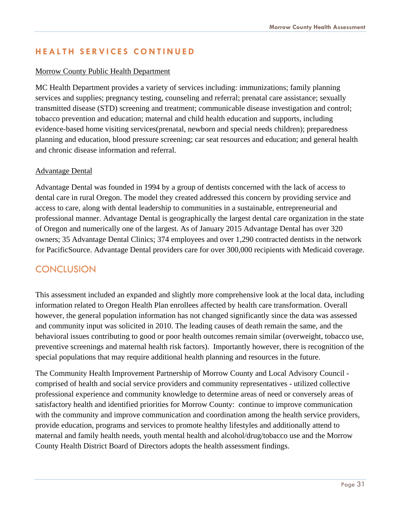#### **HEALTH SERVICES CONTINUED**

#### Morrow County Public Health Department

MC Health Department provides a variety of services including: immunizations; family planning services and supplies; pregnancy testing, counseling and referral; prenatal care assistance; sexually transmitted disease (STD) screening and treatment; communicable disease investigation and control; tobacco prevention and education; maternal and child health education and supports, including evidence-based home visiting services(prenatal, newborn and special needs children); preparedness planning and education, blood pressure screening; car seat resources and education; and general health and chronic disease information and referral.

#### Advantage Dental

Advantage Dental was founded in 1994 by a group of dentists concerned with the lack of access to dental care in rural Oregon. The model they created addressed this concern by providing service and access to care, along with dental leadership to communities in a sustainable, entrepreneurial and professional manner. Advantage Dental is geographically the largest dental care organization in the state of Oregon and numerically one of the largest. As of January 2015 Advantage Dental has over 320 owners; 35 Advantage Dental Clinics; 374 employees and over 1,290 contracted dentists in the network for PacificSource. Advantage Dental providers care for over 300,000 recipients with Medicaid coverage.

#### **CONCLUSION**

This assessment included an expanded and slightly more comprehensive look at the local data, including information related to Oregon Health Plan enrollees affected by health care transformation. Overall however, the general population information has not changed significantly since the data was assessed and community input was solicited in 2010. The leading causes of death remain the same, and the behavioral issues contributing to good or poor health outcomes remain similar (overweight, tobacco use, preventive screenings and maternal health risk factors). Importantly however, there is recognition of the special populations that may require additional health planning and resources in the future.

The Community Health Improvement Partnership of Morrow County and Local Advisory Council comprised of health and social service providers and community representatives - utilized collective professional experience and community knowledge to determine areas of need or conversely areas of satisfactory health and identified priorities for Morrow County: continue to improve communication with the community and improve communication and coordination among the health service providers, provide education, programs and services to promote healthy lifestyles and additionally attend to maternal and family health needs, youth mental health and alcohol/drug/tobacco use and the Morrow County Health District Board of Directors adopts the health assessment findings.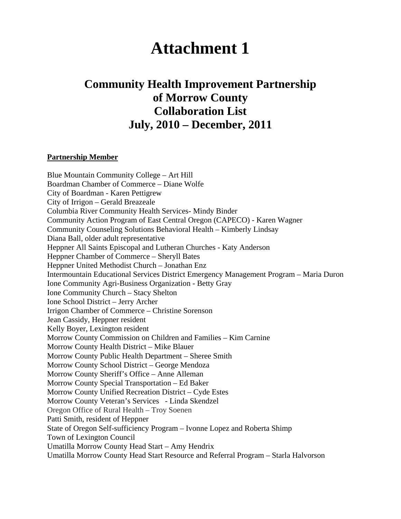# **Attachment 1**

## **Community Health Improvement Partnership of Morrow County Collaboration List July, 2010 – December, 2011**

#### **Partnership Member**

Blue Mountain Community College – Art Hill Boardman Chamber of Commerce – Diane Wolfe City of Boardman - Karen Pettigrew City of Irrigon – Gerald Breazeale Columbia River Community Health Services- Mindy Binder Community Action Program of East Central Oregon (CAPECO) - Karen Wagner Community Counseling Solutions Behavioral Health – Kimberly Lindsay Diana Ball, older adult representative Heppner All Saints Episcopal and Lutheran Churches - Katy Anderson Heppner Chamber of Commerce – Sheryll Bates Heppner United Methodist Church – Jonathan Enz Intermountain Educational Services District Emergency Management Program – Maria Duron Ione Community Agri-Business Organization - Betty Gray Ione Community Church – Stacy Shelton Ione School District – Jerry Archer Irrigon Chamber of Commerce – Christine Sorenson Jean Cassidy, Heppner resident Kelly Boyer, Lexington resident Morrow County Commission on Children and Families – Kim Carnine Morrow County Health District – Mike Blauer Morrow County Public Health Department – Sheree Smith Morrow County School District – George Mendoza Morrow County Sheriff's Office – Anne Alleman Morrow County Special Transportation – Ed Baker Morrow County Unified Recreation District – Cyde Estes Morrow County Veteran's Services - Linda Skendzel Oregon Office of Rural Health – Troy Soenen Patti Smith, resident of Heppner State of Oregon Self-sufficiency Program – Ivonne Lopez and Roberta Shimp Town of Lexington Council Umatilla Morrow County Head Start – Amy Hendrix Umatilla Morrow County Head Start Resource and Referral Program – Starla Halvorson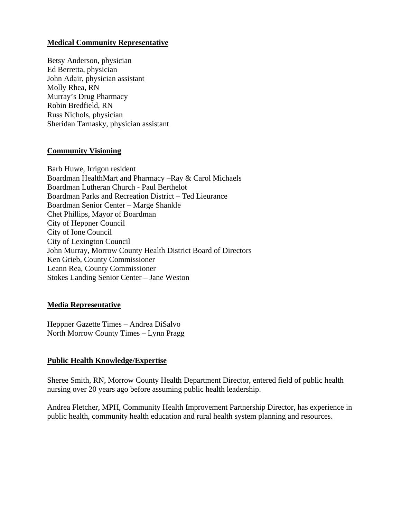#### **Medical Community Representative**

Betsy Anderson, physician Ed Berretta, physician John Adair, physician assistant Molly Rhea, RN Murray's Drug Pharmacy Robin Bredfield, RN Russ Nichols, physician Sheridan Tarnasky, physician assistant

#### **Community Visioning**

Barb Huwe, Irrigon resident Boardman HealthMart and Pharmacy –Ray & Carol Michaels Boardman Lutheran Church - Paul Berthelot Boardman Parks and Recreation District – Ted Lieurance Boardman Senior Center – Marge Shankle Chet Phillips, Mayor of Boardman City of Heppner Council City of Ione Council City of Lexington Council John Murray, Morrow County Health District Board of Directors Ken Grieb, County Commissioner Leann Rea, County Commissioner Stokes Landing Senior Center – Jane Weston

#### **Media Representative**

Heppner Gazette Times – Andrea DiSalvo North Morrow County Times – Lynn Pragg

#### **Public Health Knowledge/Expertise**

Sheree Smith, RN, Morrow County Health Department Director, entered field of public health nursing over 20 years ago before assuming public health leadership.

Andrea Fletcher, MPH, Community Health Improvement Partnership Director, has experience in public health, community health education and rural health system planning and resources.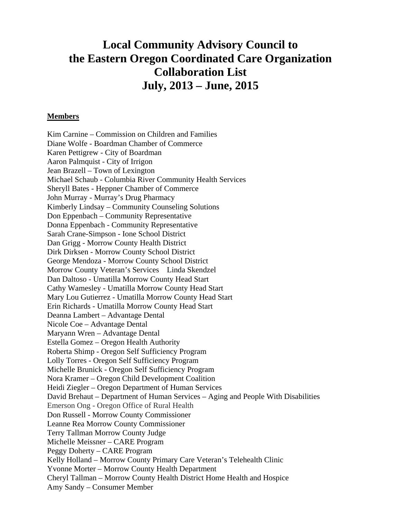## **Local Community Advisory Council to the Eastern Oregon Coordinated Care Organization Collaboration List July, 2013 – June, 2015**

#### **Members**

Kim Carnine – Commission on Children and Families Diane Wolfe - Boardman Chamber of Commerce Karen Pettigrew - City of Boardman Aaron Palmquist - City of Irrigon Jean Brazell – Town of Lexington Michael Schaub - Columbia River Community Health Services Sheryll Bates - Heppner Chamber of Commerce John Murray - Murray's Drug Pharmacy Kimberly Lindsay – Community Counseling Solutions Don Eppenbach – Community Representative Donna Eppenbach - Community Representative Sarah Crane-Simpson - Ione School District Dan Grigg - Morrow County Health District Dirk Dirksen - Morrow County School District George Mendoza - Morrow County School District Morrow County Veteran's Services Linda Skendzel Dan Daltoso - Umatilla Morrow County Head Start Cathy Wamesley - Umatilla Morrow County Head Start Mary Lou Gutierrez - Umatilla Morrow County Head Start Erin Richards - Umatilla Morrow County Head Start Deanna Lambert – Advantage Dental Nicole Coe – Advantage Dental Maryann Wren – Advantage Dental Estella Gomez – Oregon Health Authority Roberta Shimp - Oregon Self Sufficiency Program Lolly Torres - Oregon Self Sufficiency Program Michelle Brunick - Oregon Self Sufficiency Program Nora Kramer – Oregon Child Development Coalition Heidi Ziegler – Oregon Department of Human Services David Brehaut – Department of Human Services – Aging and People With Disabilities Emerson Ong - Oregon Office of Rural Health Don Russell - Morrow County Commissioner Leanne Rea Morrow County Commissioner Terry Tallman Morrow County Judge Michelle Meissner – CARE Program Peggy Doherty – CARE Program Kelly Holland – Morrow County Primary Care Veteran's Telehealth Clinic Yvonne Morter – Morrow County Health Department Cheryl Tallman – Morrow County Health District Home Health and Hospice Amy Sandy – Consumer Member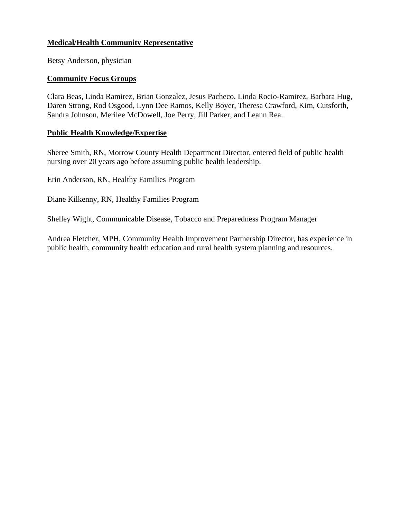#### **Medical/Health Community Representative**

Betsy Anderson, physician

#### **Community Focus Groups**

Clara Beas, Linda Ramirez, Brian Gonzalez, Jesus Pacheco, Linda Rocio-Ramirez, Barbara Hug, Daren Strong, Rod Osgood, Lynn Dee Ramos, Kelly Boyer, Theresa Crawford, Kim, Cutsforth, Sandra Johnson, Merilee McDowell, Joe Perry, Jill Parker, and Leann Rea.

#### **Public Health Knowledge/Expertise**

Sheree Smith, RN, Morrow County Health Department Director, entered field of public health nursing over 20 years ago before assuming public health leadership.

Erin Anderson, RN, Healthy Families Program

Diane Kilkenny, RN, Healthy Families Program

Shelley Wight, Communicable Disease, Tobacco and Preparedness Program Manager

Andrea Fletcher, MPH, Community Health Improvement Partnership Director, has experience in public health, community health education and rural health system planning and resources.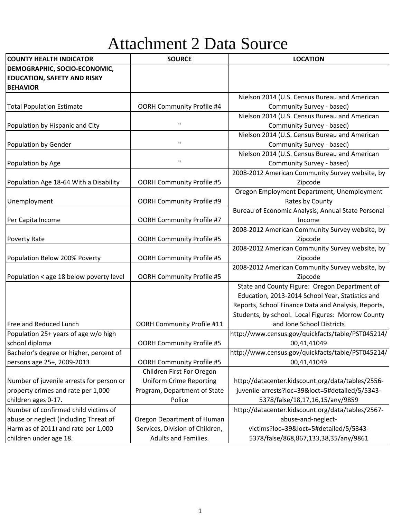# Attachment 2 Data Source

| <b>COUNTY HEALTH INDICATOR</b>           | <b>SOURCE</b>                     | <b>LOCATION</b>                                     |
|------------------------------------------|-----------------------------------|-----------------------------------------------------|
| DEMOGRAPHIC, SOCIO-ECONOMIC,             |                                   |                                                     |
| <b>EDUCATION, SAFETY AND RISKY</b>       |                                   |                                                     |
| <b>BEHAVIOR</b>                          |                                   |                                                     |
|                                          |                                   | Nielson 2014 (U.S. Census Bureau and American       |
| <b>Total Population Estimate</b>         | <b>OORH Community Profile #4</b>  | Community Survey - based)                           |
|                                          |                                   | Nielson 2014 (U.S. Census Bureau and American       |
| Population by Hispanic and City          | $\mathbf H$                       | Community Survey - based)                           |
|                                          |                                   | Nielson 2014 (U.S. Census Bureau and American       |
| Population by Gender                     | $\mathbf H$                       | Community Survey - based)                           |
|                                          |                                   | Nielson 2014 (U.S. Census Bureau and American       |
| Population by Age                        | П.                                | Community Survey - based)                           |
|                                          |                                   | 2008-2012 American Community Survey website, by     |
| Population Age 18-64 With a Disability   | <b>OORH Community Profile #5</b>  | Zipcode                                             |
|                                          |                                   | Oregon Employment Department, Unemployment          |
| Unemployment                             | OORH Community Profile #9         | Rates by County                                     |
|                                          |                                   | Bureau of Economic Analysis, Annual State Personal  |
| Per Capita Income                        | <b>OORH Community Profile #7</b>  | Income                                              |
|                                          |                                   | 2008-2012 American Community Survey website, by     |
| <b>Poverty Rate</b>                      | <b>OORH Community Profile #5</b>  | Zipcode                                             |
|                                          |                                   | 2008-2012 American Community Survey website, by     |
| Population Below 200% Poverty            | <b>OORH Community Profile #5</b>  | Zipcode                                             |
|                                          |                                   | 2008-2012 American Community Survey website, by     |
| Population < age 18 below poverty level  | <b>OORH Community Profile #5</b>  | Zipcode                                             |
|                                          |                                   | State and County Figure: Oregon Department of       |
|                                          |                                   | Education, 2013-2014 School Year, Statistics and    |
|                                          |                                   | Reports, School Finance Data and Analysis, Reports, |
|                                          |                                   | Students, by school. Local Figures: Morrow County   |
| Free and Reduced Lunch                   | <b>OORH Community Profile #11</b> | and Ione School Districts                           |
| Population 25+ years of age w/o high     |                                   | http://www.census.gov/quickfacts/table/PST045214/   |
| school diploma                           | <b>OORH Community Profile #5</b>  | 00,41,41049                                         |
| Bachelor's degree or higher, percent of  |                                   | http://www.census.gov/quickfacts/table/PST045214/   |
| persons age 25+, 2009-2013               | <b>OORH Community Profile #5</b>  | 00,41,41049                                         |
|                                          | Children First For Oregon         |                                                     |
| Number of juvenile arrests for person or | <b>Uniform Crime Reporting</b>    | http://datacenter.kidscount.org/data/tables/2556-   |
| property crimes and rate per 1,000       | Program, Department of State      | juvenile-arrests?loc=39&loct=5#detailed/5/5343-     |
| children ages 0-17.                      | Police                            | 5378/false/18,17,16,15/any/9859                     |
| Number of confirmed child victims of     |                                   | http://datacenter.kidscount.org/data/tables/2567-   |
| abuse or neglect (including Threat of    | Oregon Department of Human        | abuse-and-neglect-                                  |
| Harm as of 2011) and rate per 1,000      | Services, Division of Children,   | victims?loc=39&loct=5#detailed/5/5343-              |
| children under age 18.                   | Adults and Families.              | 5378/false/868,867,133,38,35/any/9861               |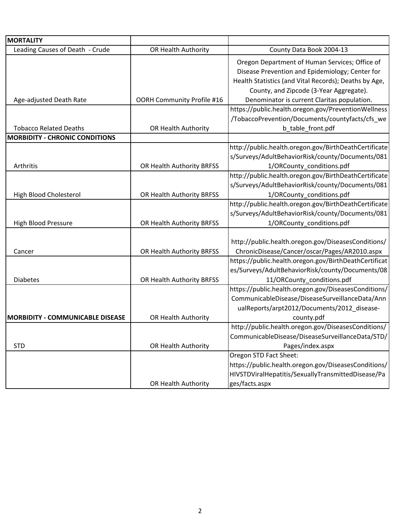| <b>MORTALITY</b>                        |                                   |                                                       |
|-----------------------------------------|-----------------------------------|-------------------------------------------------------|
| Leading Causes of Death - Crude         | OR Health Authority               | County Data Book 2004-13                              |
|                                         |                                   | Oregon Department of Human Services; Office of        |
|                                         |                                   | Disease Prevention and Epidemiology; Center for       |
|                                         |                                   | Health Statistics (and Vital Records); Deaths by Age, |
|                                         |                                   | County, and Zipcode (3-Year Aggregate).               |
| Age-adjusted Death Rate                 | <b>OORH Community Profile #16</b> | Denominator is current Claritas population.           |
|                                         |                                   | https://public.health.oregon.gov/PreventionWellness   |
|                                         |                                   | /TobaccoPrevention/Documents/countyfacts/cfs_we       |
| <b>Tobacco Related Deaths</b>           | OR Health Authority               | b table front.pdf                                     |
| <b>MORBIDITY - CHRONIC CONDITIONS</b>   |                                   |                                                       |
|                                         |                                   | http://public.health.oregon.gov/BirthDeathCertificate |
|                                         |                                   | s/Surveys/AdultBehaviorRisk/county/Documents/081      |
| Arthritis                               | OR Health Authority BRFSS         | 1/ORCounty conditions.pdf                             |
|                                         |                                   | http://public.health.oregon.gov/BirthDeathCertificate |
|                                         |                                   | s/Surveys/AdultBehaviorRisk/county/Documents/081      |
| <b>High Blood Cholesterol</b>           | OR Health Authority BRFSS         | 1/ORCounty_conditions.pdf                             |
|                                         |                                   | http://public.health.oregon.gov/BirthDeathCertificate |
|                                         |                                   | s/Surveys/AdultBehaviorRisk/county/Documents/081      |
| <b>High Blood Pressure</b>              | OR Health Authority BRFSS         | 1/ORCounty_conditions.pdf                             |
|                                         |                                   |                                                       |
|                                         |                                   | http://public.health.oregon.gov/DiseasesConditions/   |
| Cancer                                  | OR Health Authority BRFSS         | ChronicDisease/Cancer/oscar/Pages/AR2010.aspx         |
|                                         |                                   | https://public.health.oregon.gov/BirthDeathCertificat |
|                                         |                                   | es/Surveys/AdultBehaviorRisk/county/Documents/08      |
| <b>Diabetes</b>                         | OR Health Authority BRFSS         | 11/ORCounty_conditions.pdf                            |
|                                         |                                   | https://public.health.oregon.gov/DiseasesConditions/  |
|                                         |                                   | CommunicableDisease/DiseaseSurveillanceData/Ann       |
|                                         |                                   | ualReports/arpt2012/Documents/2012_disease-           |
| <b>MORBIDITY - COMMUNICABLE DISEASE</b> | OR Health Authority               | county.pdf                                            |
|                                         |                                   | http://public.health.oregon.gov/DiseasesConditions/   |
|                                         |                                   | CommunicableDisease/DiseaseSurveillanceData/STD/      |
| <b>STD</b>                              | OR Health Authority               | Pages/index.aspx                                      |
|                                         |                                   | Oregon STD Fact Sheet:                                |
|                                         |                                   | https://public.health.oregon.gov/DiseasesConditions/  |
|                                         |                                   | HIVSTDViralHepatitis/SexuallyTransmittedDisease/Pa    |
|                                         | OR Health Authority               | ges/facts.aspx                                        |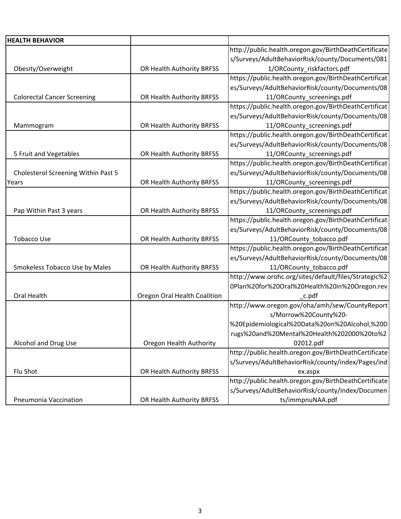| <b>HEALTH BEHAVIOR</b>              |                              |                                                       |
|-------------------------------------|------------------------------|-------------------------------------------------------|
|                                     |                              | http://public.health.oregon.gov/BirthDeathCertificate |
|                                     |                              | s/Surveys/AdultBehaviorRisk/county/Documents/081      |
| Obesity/Overweight                  | OR Health Authority BRFSS    | 1/ORCounty_riskfactors.pdf                            |
|                                     |                              | https://public.health.oregon.gov/BirthDeathCertificat |
|                                     |                              | es/Surveys/AdultBehaviorRisk/county/Documents/08      |
| <b>Colorectal Cancer Screening</b>  | OR Health Authority BRFSS    | 11/ORCounty_screenings.pdf                            |
|                                     |                              | https://public.health.oregon.gov/BirthDeathCertificat |
|                                     |                              | es/Surveys/AdultBehaviorRisk/county/Documents/08      |
| Mammogram                           | OR Health Authority BRFSS    | 11/ORCounty_screenings.pdf                            |
|                                     |                              | https://public.health.oregon.gov/BirthDeathCertificat |
|                                     |                              | es/Surveys/AdultBehaviorRisk/county/Documents/08      |
| 5 Fruit and Vegetables              | OR Health Authority BRFSS    | 11/ORCounty_screenings.pdf                            |
|                                     |                              | https://public.health.oregon.gov/BirthDeathCertificat |
| Cholesterol Screening Within Past 5 |                              | es/Surveys/AdultBehaviorRisk/county/Documents/08      |
| Years                               | OR Health Authority BRFSS    | 11/ORCounty_screenings.pdf                            |
|                                     |                              | https://public.health.oregon.gov/BirthDeathCertificat |
|                                     |                              | es/Surveys/AdultBehaviorRisk/county/Documents/08      |
| Pap Within Past 3 years             | OR Health Authority BRFSS    | 11/ORCounty_screenings.pdf                            |
|                                     |                              | https://public.health.oregon.gov/BirthDeathCertificat |
|                                     |                              | es/Surveys/AdultBehaviorRisk/county/Documents/08      |
| <b>Tobacco Use</b>                  | OR Health Authority BRFSS    | 11/ORCounty_tobacco.pdf                               |
|                                     |                              | https://public.health.oregon.gov/BirthDeathCertificat |
|                                     |                              | es/Surveys/AdultBehaviorRisk/county/Documents/08      |
| Smokeless Tobacco Use by Males      | OR Health Authority BRFSS    | 11/ORCounty_tobacco.pdf                               |
|                                     |                              | http://www.orohc.org/sites/default/files/Strategic%2  |
|                                     |                              | 0Plan%20for%20Oral%20Health%20in%20Oregon.rev         |
| Oral Health                         | Oregon Oral Health Coalition | _c.pdf                                                |
|                                     |                              | http://www.oregon.gov/oha/amh/sew/CountyReport        |
|                                     |                              | s/Morrow%20County%20-                                 |
|                                     |                              | %20Epidemiological%20Data%20on%20Alcohol,%20D         |
|                                     |                              | rugs%20and%20Mental%20Health%202000%20to%2            |
| Alcohol and Drug Use                | Oregon Health Authority      | 02012.pdf                                             |
|                                     |                              | http://public.health.oregon.gov/BirthDeathCertificate |
|                                     |                              | s/Surveys/AdultBehaviorRisk/county/index/Pages/ind    |
| Flu Shot                            | OR Health Authority BRFSS    | ex.aspx                                               |
|                                     |                              | http://public.health.oregon.gov/BirthDeathCertificate |
|                                     |                              | s/Surveys/AdultBehaviorRisk/county/index/Documen      |
| Pneumonia Vaccination               | OR Health Authority BRFSS    | ts/immpnuNAA.pdf                                      |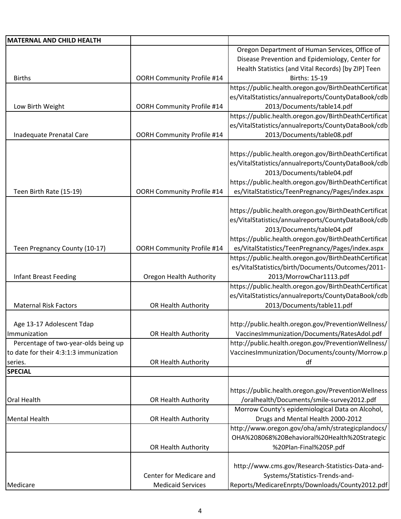| MATERNAL AND CHILD HEALTH              |                                   |                                                       |
|----------------------------------------|-----------------------------------|-------------------------------------------------------|
|                                        |                                   | Oregon Department of Human Services, Office of        |
|                                        |                                   | Disease Prevention and Epidemiology, Center for       |
|                                        |                                   | Health Statistics (and Vital Records) [by ZIP] Teen   |
| <b>Births</b>                          | <b>OORH Community Profile #14</b> | <b>Births: 15-19</b>                                  |
|                                        |                                   | https://public.health.oregon.gov/BirthDeathCertificat |
|                                        |                                   | es/VitalStatistics/annualreports/CountyDataBook/cdb   |
| Low Birth Weight                       | OORH Community Profile #14        | 2013/Documents/table14.pdf                            |
|                                        |                                   | https://public.health.oregon.gov/BirthDeathCertificat |
|                                        |                                   | es/VitalStatistics/annualreports/CountyDataBook/cdb   |
| Inadequate Prenatal Care               | <b>OORH Community Profile #14</b> | 2013/Documents/table08.pdf                            |
|                                        |                                   |                                                       |
|                                        |                                   | https://public.health.oregon.gov/BirthDeathCertificat |
|                                        |                                   | es/VitalStatistics/annualreports/CountyDataBook/cdb   |
|                                        |                                   | 2013/Documents/table04.pdf                            |
|                                        |                                   | https://public.health.oregon.gov/BirthDeathCertificat |
|                                        |                                   |                                                       |
| Teen Birth Rate (15-19)                | <b>OORH Community Profile #14</b> | es/VitalStatistics/TeenPregnancy/Pages/index.aspx     |
|                                        |                                   |                                                       |
|                                        |                                   | https://public.health.oregon.gov/BirthDeathCertificat |
|                                        |                                   | es/VitalStatistics/annualreports/CountyDataBook/cdb   |
|                                        |                                   | 2013/Documents/table04.pdf                            |
|                                        |                                   | https://public.health.oregon.gov/BirthDeathCertificat |
| Teen Pregnancy County (10-17)          | OORH Community Profile #14        | es/VitalStatistics/TeenPregnancy/Pages/index.aspx     |
|                                        |                                   | https://public.health.oregon.gov/BirthDeathCertificat |
|                                        |                                   | es/VitalStatistics/birth/Documents/Outcomes/2011-     |
| <b>Infant Breast Feeding</b>           | Oregon Health Authority           | 2013/MorrowChar1113.pdf                               |
|                                        |                                   | https://public.health.oregon.gov/BirthDeathCertificat |
|                                        |                                   | es/VitalStatistics/annualreports/CountyDataBook/cdb   |
| <b>Maternal Risk Factors</b>           | OR Health Authority               | 2013/Documents/table11.pdf                            |
|                                        |                                   |                                                       |
| Age 13-17 Adolescent Tdap              |                                   | http://public.health.oregon.gov/PreventionWellness/   |
| Immunization                           | OR Health Authority               | VaccinesImmunization/Documents/RatesAdol.pdf          |
| Percentage of two-year-olds being up   |                                   | http://public.health.oregon.gov/PreventionWellness/   |
| to date for their 4:3:1:3 immunization |                                   | Vaccines Immunization/Documents/county/Morrow.p       |
| series.                                | OR Health Authority               | df                                                    |
| <b>SPECIAL</b>                         |                                   |                                                       |
|                                        |                                   |                                                       |
|                                        |                                   | https://public.health.oregon.gov/PreventionWellness   |
| <b>Oral Health</b>                     | OR Health Authority               | /oralhealth/Documents/smile-survey2012.pdf            |
|                                        |                                   | Morrow County's epidemiological Data on Alcohol,      |
| Mental Health                          | OR Health Authority               | Drugs and Mental Health 2000-2012                     |
|                                        |                                   |                                                       |
|                                        |                                   | http://www.oregon.gov/oha/amh/strategicplandocs/      |
|                                        |                                   | OHA%208068%20Behavioral%20Health%20Strategic          |
|                                        | OR Health Authority               | %20Plan-Final%20SP.pdf                                |
|                                        |                                   |                                                       |
|                                        |                                   | http://www.cms.gov/Research-Statistics-Data-and-      |
|                                        | Center for Medicare and           | Systems/Statistics-Trends-and-                        |
| Medicare                               | <b>Medicaid Services</b>          | Reports/MedicareEnrpts/Downloads/County2012.pdf       |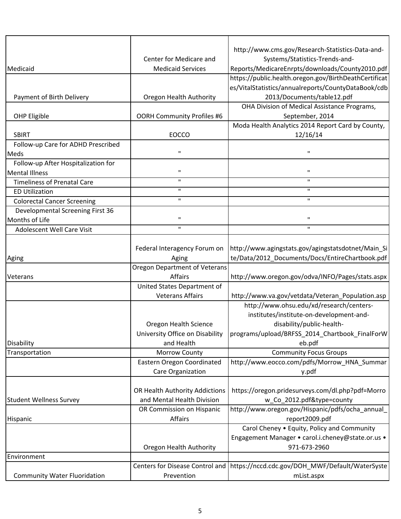|                                     |                                      | http://www.cms.gov/Research-Statistics-Data-and-              |
|-------------------------------------|--------------------------------------|---------------------------------------------------------------|
|                                     | Center for Medicare and              | Systems/Statistics-Trends-and-                                |
| Medicaid                            | <b>Medicaid Services</b>             | Reports/MedicareEnrpts/downloads/County2010.pdf               |
|                                     |                                      | https://public.health.oregon.gov/BirthDeathCertificat         |
|                                     |                                      | es/VitalStatistics/annualreports/CountyDataBook/cdb           |
| Payment of Birth Delivery           | Oregon Health Authority              | 2013/Documents/table12.pdf                                    |
|                                     |                                      | OHA Division of Medical Assistance Programs,                  |
| OHP Eligible                        | <b>OORH Community Profiles #6</b>    | September, 2014                                               |
| <b>SBIRT</b>                        | <b>EOCCO</b>                         | Moda Health Analytics 2014 Report Card by County,<br>12/16/14 |
| Follow-up Care for ADHD Prescribed  |                                      |                                                               |
| Meds                                | П.                                   | $\mathbf{H}$                                                  |
| Follow-up After Hospitalization for |                                      |                                                               |
| <b>Mental Illness</b>               | $\mathbf{H}$                         | $\pmb{\mathsf{H}}$                                            |
| <b>Timeliness of Prenatal Care</b>  | П.                                   | $\mathbf{H}$                                                  |
| <b>ED Utilization</b>               | п.                                   | $\mathbf{H}$                                                  |
| <b>Colorectal Cancer Screening</b>  | H.                                   | $\mathbf H$                                                   |
| Developmental Screening First 36    |                                      |                                                               |
| Months of Life                      | $\mathbf{H}$                         | $\mathbf H$                                                   |
| Adolescent Well Care Visit          | $\mathbf{H}$                         | $\mathbf{H}$                                                  |
|                                     |                                      |                                                               |
|                                     | Federal Interagency Forum on         | http://www.agingstats.gov/agingstatsdotnet/Main_Si            |
| Aging                               | Aging                                | te/Data/2012_Documents/Docs/EntireChartbook.pdf               |
|                                     | <b>Oregon Department of Veterans</b> |                                                               |
| Veterans                            | Affairs                              | http://www.oregon.gov/odva/INFO/Pages/stats.aspx              |
|                                     | United States Department of          |                                                               |
|                                     | <b>Veterans Affairs</b>              | http://www.va.gov/vetdata/Veteran_Population.asp              |
|                                     |                                      | http://www.ohsu.edu/xd/research/centers-                      |
|                                     |                                      | institutes/institute-on-development-and-                      |
|                                     | Oregon Health Science                | disability/public-health-                                     |
|                                     | University Office on Disability      | programs/upload/BRFSS_2014_Chartbook_FinalForW                |
| Disability                          | and Health                           | eb.pdf                                                        |
| Transportation                      | Morrow County                        | <b>Community Focus Groups</b>                                 |
|                                     | Eastern Oregon Coordinated           | http://www.eocco.com/pdfs/Morrow_HNA_Summar                   |
|                                     | Care Organization                    | y.pdf                                                         |
|                                     |                                      |                                                               |
|                                     | OR Health Authority Addictions       | https://oregon.pridesurveys.com/dl.php?pdf=Morro              |
| <b>Student Wellness Survey</b>      | and Mental Health Division           | w_Co_2012.pdf&type=county                                     |
|                                     | OR Commission on Hispanic            | http://www.oregon.gov/Hispanic/pdfs/ocha_annual               |
| Hispanic                            | Affairs                              | report2009.pdf                                                |
|                                     |                                      | Carol Cheney . Equity, Policy and Community                   |
|                                     |                                      | Engagement Manager • carol.i.cheney@state.or.us •             |
|                                     | Oregon Health Authority              | 971-673-2960                                                  |
| Environment                         |                                      |                                                               |
|                                     | Centers for Disease Control and      | https://nccd.cdc.gov/DOH_MWF/Default/WaterSyste               |
| <b>Community Water Fluoridation</b> | Prevention                           | mList.aspx                                                    |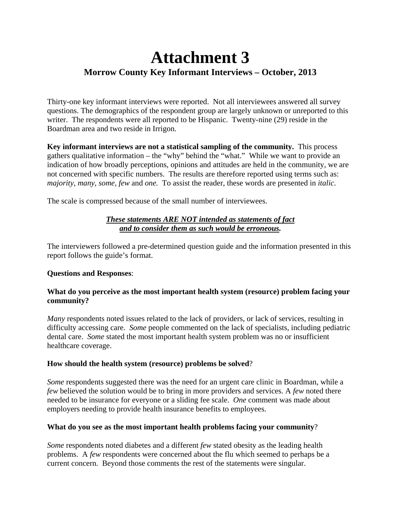# **Attachment 3 Morrow County Key Informant Interviews – October, 2013**

Thirty-one key informant interviews were reported. Not all interviewees answered all survey questions. The demographics of the respondent group are largely unknown or unreported to this writer. The respondents were all reported to be Hispanic. Twenty-nine (29) reside in the Boardman area and two reside in Irrigon.

**Key informant interviews are not a statistical sampling of the community.** This process gathers qualitative information – the "why" behind the "what." While we want to provide an indication of how broadly perceptions, opinions and attitudes are held in the community, we are not concerned with specific numbers. The results are therefore reported using terms such as: *majority, many, some, few* and *one.* To assist the reader, these words are presented in *italic*.

The scale is compressed because of the small number of interviewees.

#### *These statements ARE NOT intended as statements of fact and to consider them as such would be erroneous.*

The interviewers followed a pre-determined question guide and the information presented in this report follows the guide's format.

#### **Questions and Responses**:

#### **What do you perceive as the most important health system (resource) problem facing your community?**

*Many* respondents noted issues related to the lack of providers, or lack of services, resulting in difficulty accessing care. *Some* people commented on the lack of specialists, including pediatric dental care. *Some* stated the most important health system problem was no or insufficient healthcare coverage.

#### **How should the health system (resource) problems be solved**?

*Some* respondents suggested there was the need for an urgent care clinic in Boardman, while a *few* believed the solution would be to bring in more providers and services. A *few* noted there needed to be insurance for everyone or a sliding fee scale. *One* comment was made about employers needing to provide health insurance benefits to employees.

#### **What do you see as the most important health problems facing your community**?

*Some* respondents noted diabetes and a different *few* stated obesity as the leading health problems. A *few* respondents were concerned about the flu which seemed to perhaps be a current concern. Beyond those comments the rest of the statements were singular.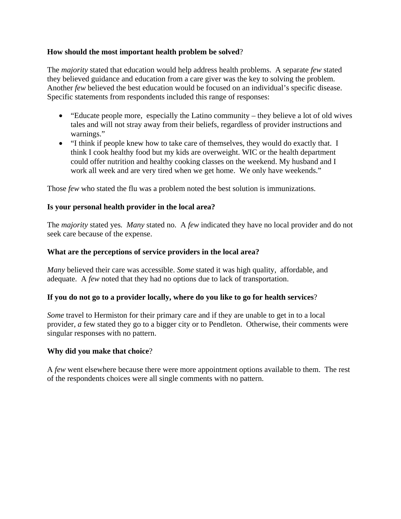#### **How should the most important health problem be solved**?

The *majority* stated that education would help address health problems. A separate *few* stated they believed guidance and education from a care giver was the key to solving the problem. Another *few* believed the best education would be focused on an individual's specific disease. Specific statements from respondents included this range of responses:

- "Educate people more, especially the Latino community they believe a lot of old wives tales and will not stray away from their beliefs, regardless of provider instructions and warnings."
- "I think if people knew how to take care of themselves, they would do exactly that. I think I cook healthy food but my kids are overweight. WIC or the health department could offer nutrition and healthy cooking classes on the weekend. My husband and I work all week and are very tired when we get home. We only have weekends."

Those *few* who stated the flu was a problem noted the best solution is immunizations.

#### **Is your personal health provider in the local area?**

The *majority* stated yes*. Many* stated no. A *few* indicated they have no local provider and do not seek care because of the expense.

#### **What are the perceptions of service providers in the local area?**

*Many* believed their care was accessible. *Some* stated it was high quality, affordable, and adequate. A *few* noted that they had no options due to lack of transportation.

#### **If you do not go to a provider locally, where do you like to go for health services**?

*Some* travel to Hermiston for their primary care and if they are unable to get in to a local provider, *a* few stated they go to a bigger city or to Pendleton. Otherwise, their comments were singular responses with no pattern.

#### **Why did you make that choice**?

A *few* went elsewhere because there were more appointment options available to them. The rest of the respondents choices were all single comments with no pattern.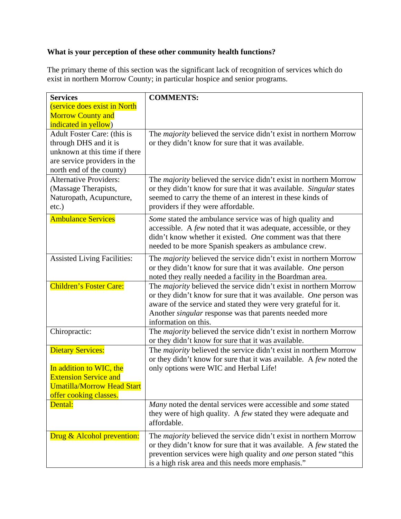#### **What is your perception of these other community health functions?**

The primary theme of this section was the significant lack of recognition of services which do exist in northern Morrow County; in particular hospice and senior programs.

| <b>Services</b>                    | <b>COMMENTS:</b>                                                         |
|------------------------------------|--------------------------------------------------------------------------|
| (service does exist in North       |                                                                          |
| <b>Morrow County and</b>           |                                                                          |
| indicated in yellow)               |                                                                          |
| Adult Foster Care: (this is        | The <i>majority</i> believed the service didn't exist in northern Morrow |
| through DHS and it is              | or they didn't know for sure that it was available.                      |
| unknown at this time if there      |                                                                          |
| are service providers in the       |                                                                          |
| north end of the county)           |                                                                          |
| <b>Alternative Providers:</b>      | The <i>majority</i> believed the service didn't exist in northern Morrow |
| (Massage Therapists,               | or they didn't know for sure that it was available. Singular states      |
| Naturopath, Acupuncture,           | seemed to carry the theme of an interest in these kinds of               |
| $etc.$ )                           | providers if they were affordable.                                       |
|                                    |                                                                          |
| <b>Ambulance Services</b>          | Some stated the ambulance service was of high quality and                |
|                                    | accessible. A few noted that it was adequate, accessible, or they        |
|                                    | didn't know whether it existed. One comment was that there               |
|                                    | needed to be more Spanish speakers as ambulance crew.                    |
| <b>Assisted Living Facilities:</b> | The majority believed the service didn't exist in northern Morrow        |
|                                    | or they didn't know for sure that it was available. One person           |
|                                    | noted they really needed a facility in the Boardman area.                |
| <b>Children's Foster Care:</b>     | The <i>majority</i> believed the service didn't exist in northern Morrow |
|                                    | or they didn't know for sure that it was available. One person was       |
|                                    | aware of the service and stated they were very grateful for it.          |
|                                    | Another <i>singular</i> response was that parents needed more            |
|                                    | information on this.                                                     |
| Chiropractic:                      | The majority believed the service didn't exist in northern Morrow        |
|                                    | or they didn't know for sure that it was available.                      |
| <b>Dietary Services:</b>           | The <i>majority</i> believed the service didn't exist in northern Morrow |
|                                    | or they didn't know for sure that it was available. A few noted the      |
| In addition to WIC, the            | only options were WIC and Herbal Life!                                   |
| <b>Extension Service and</b>       |                                                                          |
| <b>Umatilla/Morrow Head Start</b>  |                                                                          |
| offer cooking classes.             |                                                                          |
| Dental:                            | Many noted the dental services were accessible and some stated           |
|                                    | they were of high quality. A few stated they were adequate and           |
|                                    | affordable.                                                              |
|                                    |                                                                          |
| Drug & Alcohol prevention:         | The <i>majority</i> believed the service didn't exist in northern Morrow |
|                                    | or they didn't know for sure that it was available. A few stated the     |
|                                    | prevention services were high quality and <i>one</i> person stated "this |
|                                    | is a high risk area and this needs more emphasis."                       |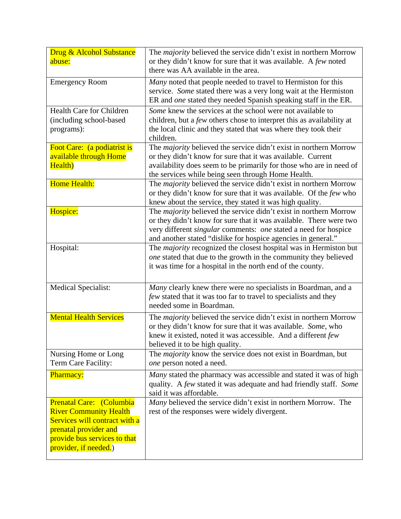| Drug & Alcohol Substance<br>abuse:                                                                                                                                           | The <i>majority</i> believed the service didn't exist in northern Morrow<br>or they didn't know for sure that it was available. A few noted<br>there was AA available in the area.                                                                                                        |
|------------------------------------------------------------------------------------------------------------------------------------------------------------------------------|-------------------------------------------------------------------------------------------------------------------------------------------------------------------------------------------------------------------------------------------------------------------------------------------|
| <b>Emergency Room</b>                                                                                                                                                        | Many noted that people needed to travel to Hermiston for this<br>service. Some stated there was a very long wait at the Hermiston<br>ER and one stated they needed Spanish speaking staff in the ER.                                                                                      |
| Health Care for Children<br>(including school-based<br>programs):                                                                                                            | Some knew the services at the school were not available to<br>children, but a few others chose to interpret this as availability at<br>the local clinic and they stated that was where they took their<br>children.                                                                       |
| Foot Care: (a podiatrist is<br>available through Home<br>Health)                                                                                                             | The majority believed the service didn't exist in northern Morrow<br>or they didn't know for sure that it was available. Current<br>availability does seem to be primarily for those who are in need of<br>the services while being seen through Home Health.                             |
| <b>Home Health:</b>                                                                                                                                                          | The <i>majority</i> believed the service didn't exist in northern Morrow<br>or they didn't know for sure that it was available. Of the few who<br>knew about the service, they stated it was high quality.                                                                                |
| Hospice:                                                                                                                                                                     | The <i>majority</i> believed the service didn't exist in northern Morrow<br>or they didn't know for sure that it was available. There were two<br>very different <i>singular</i> comments: one stated a need for hospice<br>and another stated "dislike for hospice agencies in general." |
| Hospital:                                                                                                                                                                    | The <i>majority</i> recognized the closest hospital was in Hermiston but<br>one stated that due to the growth in the community they believed<br>it was time for a hospital in the north end of the county.                                                                                |
| <b>Medical Specialist:</b>                                                                                                                                                   | Many clearly knew there were no specialists in Boardman, and a<br>few stated that it was too far to travel to specialists and they<br>needed some in Boardman.                                                                                                                            |
| <b>Mental Health Services</b>                                                                                                                                                | The majority believed the service didn't exist in northern Morrow<br>or they didn't know for sure that it was available. Some, who<br>knew it existed, noted it was accessible. And a different few<br>believed it to be high quality.                                                    |
| Nursing Home or Long<br>Term Care Facility:                                                                                                                                  | The <i>majority</i> know the service does not exist in Boardman, but<br>one person noted a need.                                                                                                                                                                                          |
| Pharmacy:                                                                                                                                                                    | Many stated the pharmacy was accessible and stated it was of high<br>quality. A few stated it was adequate and had friendly staff. Some<br>said it was affordable.                                                                                                                        |
| Prenatal Care: (Columbia<br><b>River Community Health</b><br>Services will contract with a<br>prenatal provider and<br>provide bus services to that<br>provider, if needed.) | Many believed the service didn't exist in northern Morrow. The<br>rest of the responses were widely divergent.                                                                                                                                                                            |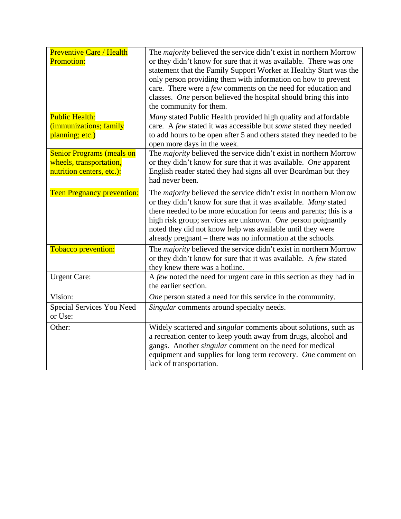| <b>Preventive Care / Health</b><br><b>Promotion:</b>                                     | The <i>majority</i> believed the service didn't exist in northern Morrow<br>or they didn't know for sure that it was available. There was one<br>statement that the Family Support Worker at Healthy Start was the<br>only person providing them with information on how to prevent<br>care. There were a few comments on the need for education and<br>classes. One person believed the hospital should bring this into<br>the community for them. |
|------------------------------------------------------------------------------------------|-----------------------------------------------------------------------------------------------------------------------------------------------------------------------------------------------------------------------------------------------------------------------------------------------------------------------------------------------------------------------------------------------------------------------------------------------------|
| <b>Public Health:</b><br>(immunizations; family<br>planning; etc.)                       | Many stated Public Health provided high quality and affordable<br>care. A few stated it was accessible but some stated they needed<br>to add hours to be open after 5 and others stated they needed to be<br>open more days in the week.                                                                                                                                                                                                            |
| <b>Senior Programs (meals on</b><br>wheels, transportation,<br>nutrition centers, etc.): | The <i>majority</i> believed the service didn't exist in northern Morrow<br>or they didn't know for sure that it was available. One apparent<br>English reader stated they had signs all over Boardman but they<br>had never been.                                                                                                                                                                                                                  |
| <b>Teen Pregnancy prevention:</b>                                                        | The <i>majority</i> believed the service didn't exist in northern Morrow<br>or they didn't know for sure that it was available. Many stated<br>there needed to be more education for teens and parents; this is a<br>high risk group; services are unknown. One person poignantly<br>noted they did not know help was available until they were<br>already pregnant – there was no information at the schools.                                      |
| Tobacco prevention:                                                                      | The <i>majority</i> believed the service didn't exist in northern Morrow<br>or they didn't know for sure that it was available. A few stated<br>they knew there was a hotline.                                                                                                                                                                                                                                                                      |
| <b>Urgent Care:</b>                                                                      | A few noted the need for urgent care in this section as they had in<br>the earlier section.                                                                                                                                                                                                                                                                                                                                                         |
| Vision:                                                                                  | One person stated a need for this service in the community.                                                                                                                                                                                                                                                                                                                                                                                         |
| Special Services You Need<br>or Use:                                                     | Singular comments around specialty needs.                                                                                                                                                                                                                                                                                                                                                                                                           |
| Other:                                                                                   | Widely scattered and <i>singular</i> comments about solutions, such as<br>a recreation center to keep youth away from drugs, alcohol and<br>gangs. Another <i>singular</i> comment on the need for medical<br>equipment and supplies for long term recovery. One comment on<br>lack of transportation.                                                                                                                                              |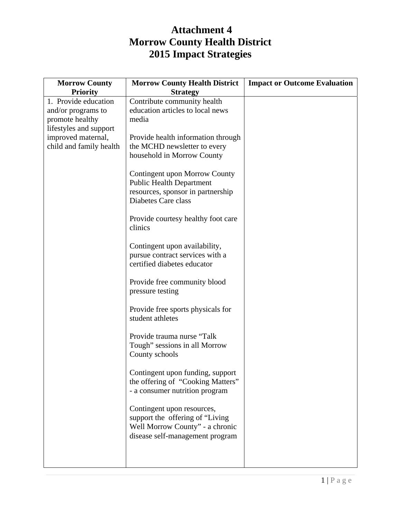### **Attachment 4 Morrow County Health District 2015 Impact Strategies**

| <b>Morrow County</b>                                                                    | <b>Morrow County Health District</b>                                                                                                 | <b>Impact or Outcome Evaluation</b> |
|-----------------------------------------------------------------------------------------|--------------------------------------------------------------------------------------------------------------------------------------|-------------------------------------|
| <b>Priority</b>                                                                         | <b>Strategy</b>                                                                                                                      |                                     |
| 1. Provide education<br>and/or programs to<br>promote healthy<br>lifestyles and support | Contribute community health<br>education articles to local news<br>media                                                             |                                     |
| improved maternal,<br>child and family health                                           | Provide health information through<br>the MCHD newsletter to every<br>household in Morrow County                                     |                                     |
|                                                                                         | Contingent upon Morrow County<br><b>Public Health Department</b><br>resources, sponsor in partnership<br>Diabetes Care class         |                                     |
|                                                                                         | Provide courtesy healthy foot care<br>clinics                                                                                        |                                     |
|                                                                                         | Contingent upon availability,<br>pursue contract services with a<br>certified diabetes educator                                      |                                     |
|                                                                                         | Provide free community blood<br>pressure testing                                                                                     |                                     |
|                                                                                         | Provide free sports physicals for<br>student athletes                                                                                |                                     |
|                                                                                         | Provide trauma nurse "Talk<br>Tough" sessions in all Morrow<br>County schools                                                        |                                     |
|                                                                                         | Contingent upon funding, support<br>the offering of "Cooking Matters"<br>- a consumer nutrition program                              |                                     |
|                                                                                         | Contingent upon resources,<br>support the offering of "Living"<br>Well Morrow County" - a chronic<br>disease self-management program |                                     |
|                                                                                         |                                                                                                                                      |                                     |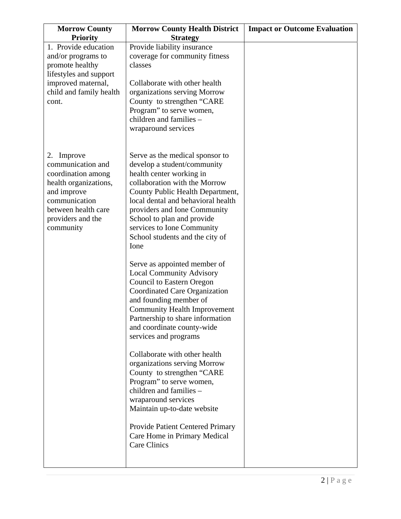| <b>Morrow County</b>                                                                                                                                                    | <b>Morrow County Health District</b>                                                                                                                                                                                                                                                                                                         | <b>Impact or Outcome Evaluation</b> |
|-------------------------------------------------------------------------------------------------------------------------------------------------------------------------|----------------------------------------------------------------------------------------------------------------------------------------------------------------------------------------------------------------------------------------------------------------------------------------------------------------------------------------------|-------------------------------------|
| <b>Priority</b>                                                                                                                                                         | <b>Strategy</b>                                                                                                                                                                                                                                                                                                                              |                                     |
| 1. Provide education<br>and/or programs to<br>promote healthy<br>lifestyles and support<br>improved maternal,<br>child and family health<br>cont.                       | Provide liability insurance<br>coverage for community fitness<br>classes<br>Collaborate with other health<br>organizations serving Morrow<br>County to strengthen "CARE<br>Program" to serve women,<br>children and families -<br>wraparound services                                                                                        |                                     |
| 2. Improve<br>communication and<br>coordination among<br>health organizations,<br>and improve<br>communication<br>between health care<br>providers and the<br>community | Serve as the medical sponsor to<br>develop a student/community<br>health center working in<br>collaboration with the Morrow<br>County Public Health Department,<br>local dental and behavioral health<br>providers and Ione Community<br>School to plan and provide<br>services to Ione Community<br>School students and the city of<br>Ione |                                     |
|                                                                                                                                                                         | Serve as appointed member of<br><b>Local Community Advisory</b><br><b>Council to Eastern Oregon</b><br>Coordinated Care Organization<br>and founding member of<br><b>Community Health Improvement</b><br>Partnership to share information<br>and coordinate county-wide<br>services and programs                                             |                                     |
|                                                                                                                                                                         | Collaborate with other health<br>organizations serving Morrow<br>County to strengthen "CARE<br>Program" to serve women,<br>children and families -<br>wraparound services<br>Maintain up-to-date website<br>Provide Patient Centered Primary<br>Care Home in Primary Medical<br>Care Clinics                                                 |                                     |